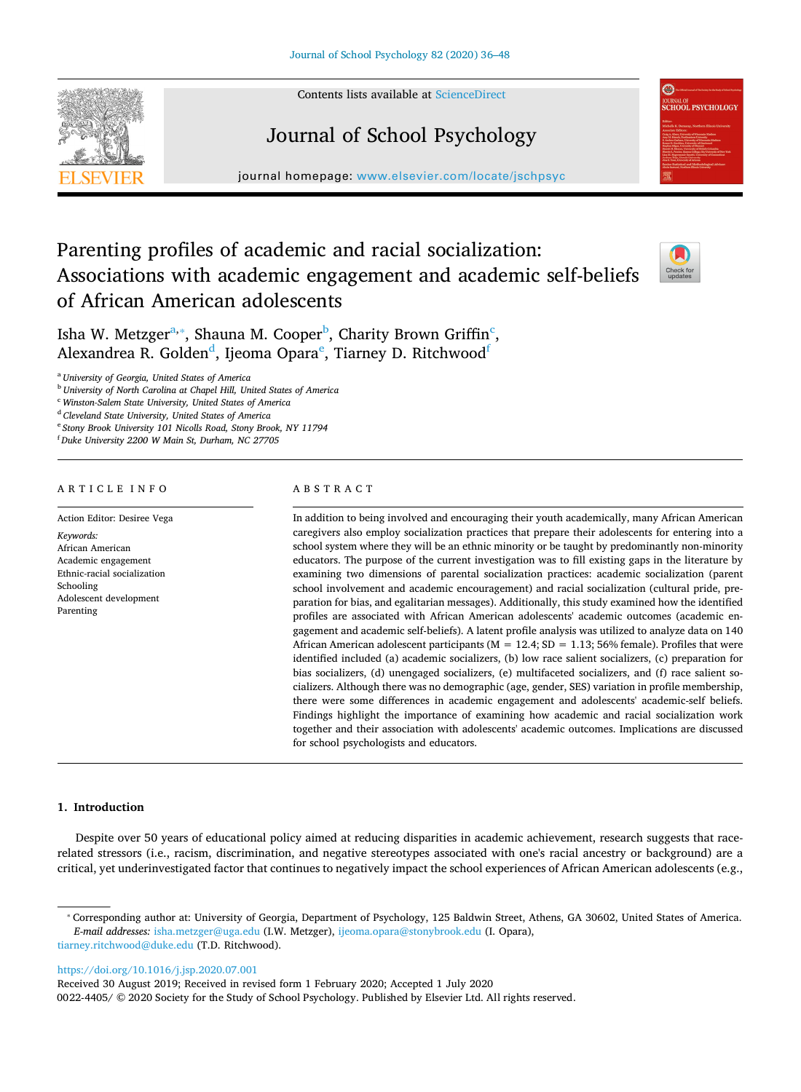

# Journal of School Psychology

journal homepage: [www.elsevier.com/locate/jschpsyc](https://www.elsevier.com/locate/jschpsyc) 

# Parenting profiles of academic and racial socialization: Associations with academic engagement and academic self-beliefs of African American adolescents



JOURNAL OF<br>**SCHOOL PSYCHOLOGY** 

Isha W. Metzger $a^a$ , Shauna M. Cooper $^b$  $^b$ , Charity Brown Griffin $^c$  $^c$ , Alexan[d](#page-0-4)r[e](#page-0-5)a R. Golden<sup>d</sup>, Ijeoma Opara<sup>e</sup>, Tiarney D. Ritchwood<sup>[f](#page-0-6)</sup>

<span id="page-0-0"></span><sup>a</sup>*University of Georgia, United States of America* 

<span id="page-0-2"></span><sup>b</sup>*University of North Carolina at Chapel Hill, United States of America* 

<span id="page-0-3"></span><sup>c</sup>*Winston-Salem State University, United States of America* 

<span id="page-0-4"></span><sup>d</sup>*Cleveland State University, United States of America* 

<span id="page-0-5"></span><sup>e</sup>*Stony Brook University 101 Nicolls Road, Stony Brook, NY 11794* 

<span id="page-0-6"></span><sup>f</sup>*Duke University 2200 W Main St, Durham, NC 27705* 

# A R T I C L E I N F O

Action Editor: Desiree Vega *Keywords:*  African American Academic engagement Ethnic-racial socialization Schooling Adolescent development Parenting

# ABSTRACT

In addition to being involved and encouraging their youth academically, many African American caregivers also employ socialization practices that prepare their adolescents for entering into a school system where they will be an ethnic minority or be taught by predominantly non-minority educators. The purpose of the current investigation was to fill existing gaps in the literature by examining two dimensions of parental socialization practices: academic socialization (parent school involvement and academic encouragement) and racial socialization (cultural pride, preparation for bias, and egalitarian messages). Additionally, this study examined how the identified profiles are associated with African American adolescents' academic outcomes (academic engagement and academic self-beliefs). A latent profile analysis was utilized to analyze data on 140 African American adolescent participants ( $M = 12.4$ ;  $SD = 1.13$ ; 56% female). Profiles that were identified included (a) academic socializers, (b) low race salient socializers, (c) preparation for bias socializers, (d) unengaged socializers, (e) multifaceted socializers, and (f) race salient socializers. Although there was no demographic (age, gender, SES) variation in profile membership, there were some differences in academic engagement and adolescents' academic-self beliefs. Findings highlight the importance of examining how academic and racial socialization work together and their association with adolescents' academic outcomes. Implications are discussed for school psychologists and educators.

## **1. Introduction**

Despite over 50 years of educational policy aimed at reducing disparities in academic achievement, research suggests that racerelated stressors (i.e., racism, discrimination, and negative stereotypes associated with one's racial ancestry or background) are a critical, yet underinvestigated factor that continues to negatively impact the school experiences of African American adolescents (e.g.,

[tiarney.ritchwood@duke.edu](mailto:tiarney.ritchwood@duke.edu) (T.D. Ritchwood).

<https://doi.org/10.1016/j.jsp.2020.07.001>

Received 30 August 2019; Received in revised form 1 February 2020; Accepted 1 July 2020 0022-4405/ © 2020 Society for the Study of School Psychology. Published by Elsevier Ltd. All rights reserved.

<span id="page-0-1"></span><sup>⁎</sup> Corresponding author at: University of Georgia, Department of Psychology, 125 Baldwin Street, Athens, GA 30602, United States of America. *E-mail addresses:* [isha.metzger@uga.edu](mailto:isha.metzger@uga.edu) (I.W. Metzger), [ijeoma.opara@stonybrook.edu](mailto:ijeoma.opara@stonybrook.edu) (I. Opara),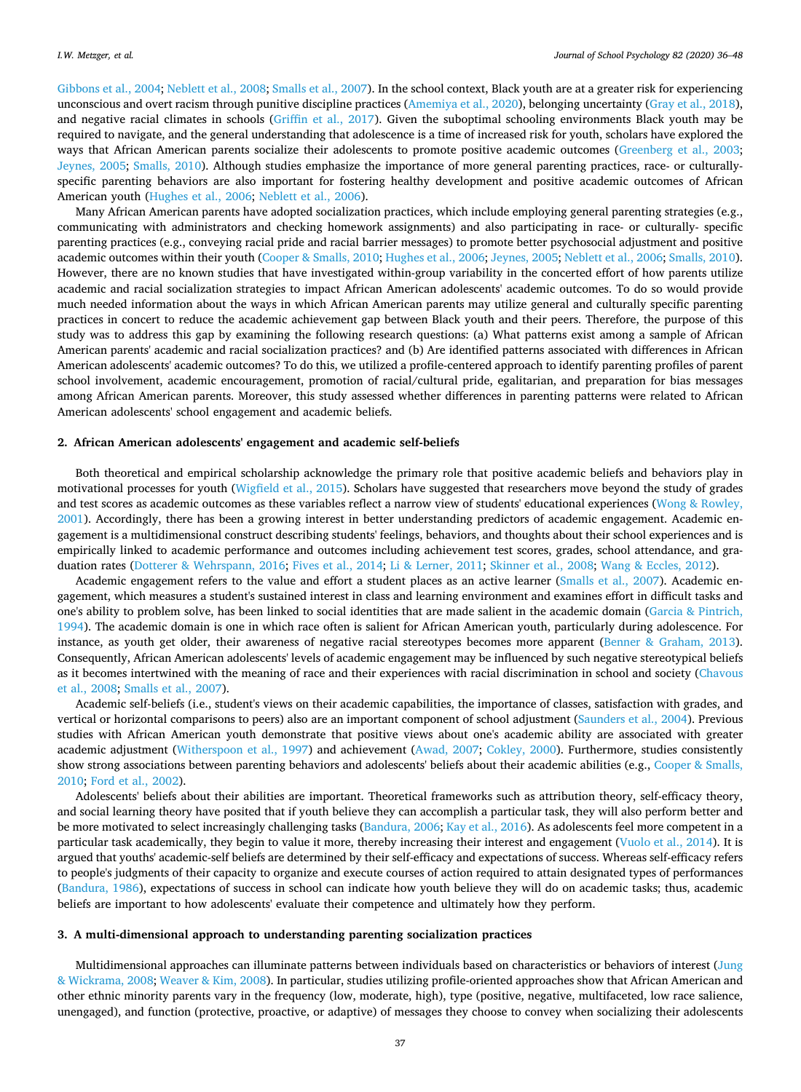[Gibbons et al., 2004](#page-11-0); [Neblett et al., 2008;](#page-12-0) [Smalls et al., 2007\)](#page-12-1). In the school context, Black youth are at a greater risk for experiencing unconscious and overt racism through punitive discipline practices ([Amemiya et al., 2020](#page-10-0)), belonging uncertainty ([Gray et al., 2018](#page-11-1)), and negative racial climates in schools [\(Griffin et al., 2017\)](#page-11-2). Given the suboptimal schooling environments Black youth may be required to navigate, and the general understanding that adolescence is a time of increased risk for youth, scholars have explored the ways that African American parents socialize their adolescents to promote positive academic outcomes ([Greenberg et al., 2003](#page-11-3); [Jeynes, 2005;](#page-11-4) [Smalls, 2010\)](#page-12-2). Although studies emphasize the importance of more general parenting practices, race- or culturallyspecific parenting behaviors are also important for fostering healthy development and positive academic outcomes of African American youth ([Hughes et al., 2006](#page-11-5); [Neblett et al., 2006](#page-11-6)).

Many African American parents have adopted socialization practices, which include employing general parenting strategies (e.g., communicating with administrators and checking homework assignments) and also participating in race- or culturally- specific parenting practices (e.g., conveying racial pride and racial barrier messages) to promote better psychosocial adjustment and positive academic outcomes within their youth [\(Cooper & Smalls, 2010;](#page-10-1) [Hughes et al., 2006;](#page-11-5) [Jeynes, 2005;](#page-11-4) [Neblett et al., 2006;](#page-11-6) [Smalls, 2010](#page-12-2)). However, there are no known studies that have investigated within-group variability in the concerted effort of how parents utilize academic and racial socialization strategies to impact African American adolescents' academic outcomes. To do so would provide much needed information about the ways in which African American parents may utilize general and culturally specific parenting practices in concert to reduce the academic achievement gap between Black youth and their peers. Therefore, the purpose of this study was to address this gap by examining the following research questions: (a) What patterns exist among a sample of African American parents' academic and racial socialization practices? and (b) Are identified patterns associated with differences in African American adolescents' academic outcomes? To do this, we utilized a profile-centered approach to identify parenting profiles of parent school involvement, academic encouragement, promotion of racial/cultural pride, egalitarian, and preparation for bias messages among African American parents. Moreover, this study assessed whether differences in parenting patterns were related to African American adolescents' school engagement and academic beliefs.

### **2. African American adolescents' engagement and academic self-beliefs**

Both theoretical and empirical scholarship acknowledge the primary role that positive academic beliefs and behaviors play in motivational processes for youth [\(Wigfield et al., 2015\)](#page-12-3). Scholars have suggested that researchers move beyond the study of grades and test scores as academic outcomes as these variables reflect a narrow view of students' educational experiences [\(Wong & Rowley,](#page-12-4) [2001\)](#page-12-4). Accordingly, there has been a growing interest in better understanding predictors of academic engagement. Academic engagement is a multidimensional construct describing students' feelings, behaviors, and thoughts about their school experiences and is empirically linked to academic performance and outcomes including achievement test scores, grades, school attendance, and gra-duation rates [\(Dotterer & Wehrspann, 2016](#page-11-7); [Fives et al., 2014](#page-11-8); [Li & Lerner, 2011](#page-11-9); [Skinner et al., 2008;](#page-12-5) [Wang & Eccles, 2012\)](#page-12-6).

Academic engagement refers to the value and effort a student places as an active learner ([Smalls et al., 2007](#page-12-1)). Academic engagement, which measures a student's sustained interest in class and learning environment and examines effort in difficult tasks and one's ability to problem solve, has been linked to social identities that are made salient in the academic domain [\(Garcia & Pintrich,](#page-11-10) [1994\)](#page-11-10). The academic domain is one in which race often is salient for African American youth, particularly during adolescence. For instance, as youth get older, their awareness of negative racial stereotypes becomes more apparent ([Benner & Graham, 2013](#page-10-2)). Consequently, African American adolescents' levels of academic engagement may be influenced by such negative stereotypical beliefs as it becomes intertwined with the meaning of race and their experiences with racial discrimination in school and society [\(Chavous](#page-10-3) [et al., 2008;](#page-10-3) [Smalls et al., 2007\)](#page-12-1).

Academic self-beliefs (i.e., student's views on their academic capabilities, the importance of classes, satisfaction with grades, and vertical or horizontal comparisons to peers) also are an important component of school adjustment [\(Saunders et al., 2004](#page-12-7)). Previous studies with African American youth demonstrate that positive views about one's academic ability are associated with greater academic adjustment [\(Witherspoon et al., 1997\)](#page-12-8) and achievement [\(Awad, 2007;](#page-10-4) [Cokley, 2000](#page-10-5)). Furthermore, studies consistently show strong associations between parenting behaviors and adolescents' beliefs about their academic abilities (e.g., [Cooper & Smalls,](#page-10-1) [2010;](#page-10-1) [Ford et al., 2002](#page-11-11)).

Adolescents' beliefs about their abilities are important. Theoretical frameworks such as attribution theory, self-efficacy theory, and social learning theory have posited that if youth believe they can accomplish a particular task, they will also perform better and be more motivated to select increasingly challenging tasks ([Bandura, 2006](#page-10-6); [Kay et al., 2016](#page-11-12)). As adolescents feel more competent in a particular task academically, they begin to value it more, thereby increasing their interest and engagement [\(Vuolo et al., 2014\)](#page-12-9). It is argued that youths' academic-self beliefs are determined by their self-efficacy and expectations of success. Whereas self-efficacy refers to people's judgments of their capacity to organize and execute courses of action required to attain designated types of performances [\(Bandura, 1986](#page-10-7)), expectations of success in school can indicate how youth believe they will do on academic tasks; thus, academic beliefs are important to how adolescents' evaluate their competence and ultimately how they perform.

### **3. A multi-dimensional approach to understanding parenting socialization practices**

Multidimensional approaches can illuminate patterns between individuals based on characteristics or behaviors of interest [\(Jung](#page-11-13) [& Wickrama, 2008](#page-11-13); [Weaver & Kim, 2008](#page-12-10)). In particular, studies utilizing profile-oriented approaches show that African American and other ethnic minority parents vary in the frequency (low, moderate, high), type (positive, negative, multifaceted, low race salience, unengaged), and function (protective, proactive, or adaptive) of messages they choose to convey when socializing their adolescents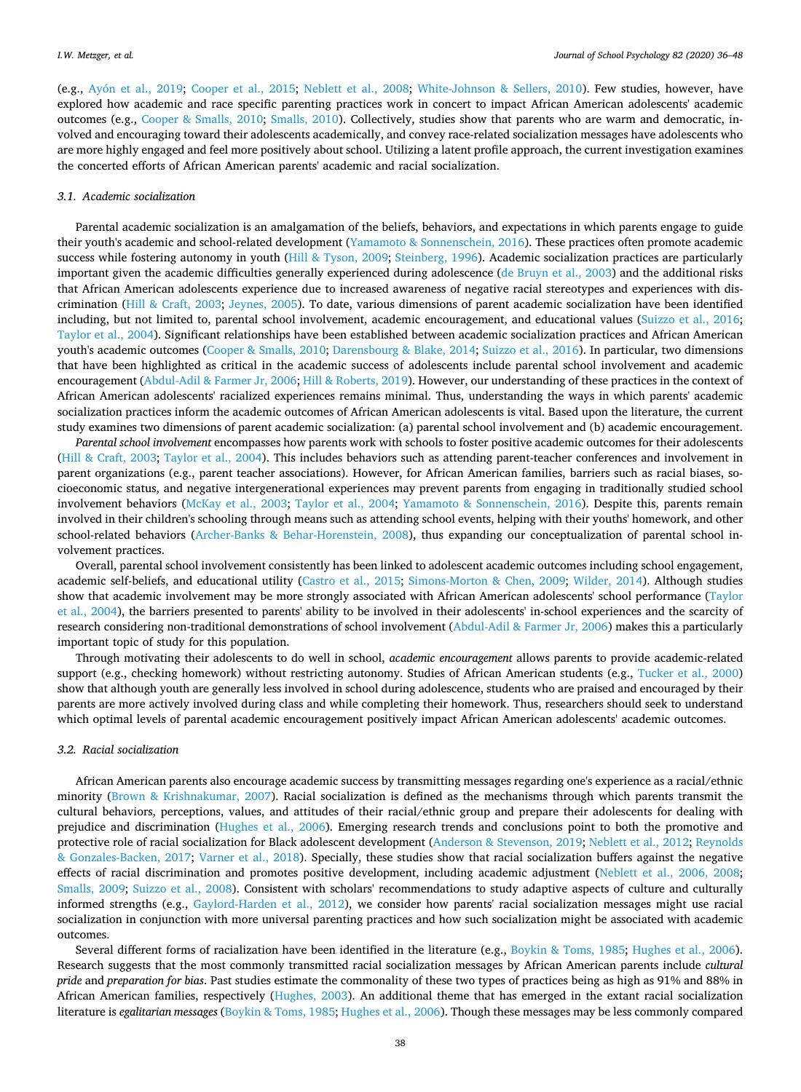(e.g., [Ayón et al., 2019](#page-10-8); [Cooper et al., 2015](#page-11-14); [Neblett et al., 2008](#page-12-0); [White-Johnson & Sellers, 2010\)](#page-12-11). Few studies, however, have explored how academic and race specific parenting practices work in concert to impact African American adolescents' academic outcomes (e.g., [Cooper & Smalls, 2010;](#page-10-1) [Smalls, 2010](#page-12-2)). Collectively, studies show that parents who are warm and democratic, involved and encouraging toward their adolescents academically, and convey race-related socialization messages have adolescents who are more highly engaged and feel more positively about school. Utilizing a latent profile approach, the current investigation examines the concerted efforts of African American parents' academic and racial socialization.

### *3.1. Academic socialization*

Parental academic socialization is an amalgamation of the beliefs, behaviors, and expectations in which parents engage to guide their youth's academic and school-related development [\(Yamamoto & Sonnenschein, 2016\)](#page-12-12). These practices often promote academic success while fostering autonomy in youth [\(Hill & Tyson, 2009;](#page-11-15) [Steinberg, 1996\)](#page-12-13). Academic socialization practices are particularly important given the academic difficulties generally experienced during adolescence ([de Bruyn et al., 2003\)](#page-11-16) and the additional risks that African American adolescents experience due to increased awareness of negative racial stereotypes and experiences with discrimination ([Hill & Craft, 2003;](#page-11-17) [Jeynes, 2005](#page-11-4)). To date, various dimensions of parent academic socialization have been identified including, but not limited to, parental school involvement, academic encouragement, and educational values [\(Suizzo et al., 2016](#page-12-14); [Taylor et al., 2004\)](#page-12-15). Significant relationships have been established between academic socialization practices and African American youth's academic outcomes ([Cooper & Smalls, 2010;](#page-10-1) [Darensbourg & Blake, 2014](#page-11-18); [Suizzo et al., 2016\)](#page-12-14). In particular, two dimensions that have been highlighted as critical in the academic success of adolescents include parental school involvement and academic encouragement [\(Abdul-Adil & Farmer Jr, 2006;](#page-10-9) [Hill & Roberts, 2019](#page-11-19)). However, our understanding of these practices in the context of African American adolescents' racialized experiences remains minimal. Thus, understanding the ways in which parents' academic socialization practices inform the academic outcomes of African American adolescents is vital. Based upon the literature, the current study examines two dimensions of parent academic socialization: (a) parental school involvement and (b) academic encouragement.

*Parental school involvement* encompasses how parents work with schools to foster positive academic outcomes for their adolescents [\(Hill & Craft, 2003;](#page-11-17) [Taylor et al., 2004](#page-12-15)). This includes behaviors such as attending parent-teacher conferences and involvement in parent organizations (e.g., parent teacher associations). However, for African American families, barriers such as racial biases, socioeconomic status, and negative intergenerational experiences may prevent parents from engaging in traditionally studied school involvement behaviors [\(McKay et al., 2003](#page-11-20); [Taylor et al., 2004;](#page-12-15) [Yamamoto & Sonnenschein, 2016](#page-12-12)). Despite this, parents remain involved in their children's schooling through means such as attending school events, helping with their youths' homework, and other school-related behaviors ([Archer-Banks & Behar-Horenstein, 2008\)](#page-10-10), thus expanding our conceptualization of parental school involvement practices.

Overall, parental school involvement consistently has been linked to adolescent academic outcomes including school engagement, academic self-beliefs, and educational utility ([Castro et al., 2015;](#page-10-11) [Simons-Morton & Chen, 2009;](#page-12-16) [Wilder, 2014\)](#page-12-17). Although studies show that academic involvement may be more strongly associated with African American adolescents' school performance [\(Taylor](#page-12-15) [et al., 2004\)](#page-12-15), the barriers presented to parents' ability to be involved in their adolescents' in-school experiences and the scarcity of research considering non-traditional demonstrations of school involvement [\(Abdul-Adil & Farmer Jr, 2006](#page-10-9)) makes this a particularly important topic of study for this population.

Through motivating their adolescents to do well in school, *academic encouragement* allows parents to provide academic-related support (e.g., checking homework) without restricting autonomy. Studies of African American students (e.g., [Tucker et al., 2000](#page-12-18)) show that although youth are generally less involved in school during adolescence, students who are praised and encouraged by their parents are more actively involved during class and while completing their homework. Thus, researchers should seek to understand which optimal levels of parental academic encouragement positively impact African American adolescents' academic outcomes.

#### *3.2. Racial socialization*

African American parents also encourage academic success by transmitting messages regarding one's experience as a racial/ethnic minority ([Brown & Krishnakumar, 2007](#page-10-12)). Racial socialization is defined as the mechanisms through which parents transmit the cultural behaviors, perceptions, values, and attitudes of their racial/ethnic group and prepare their adolescents for dealing with prejudice and discrimination [\(Hughes et al., 2006](#page-11-5)). Emerging research trends and conclusions point to both the promotive and protective role of racial socialization for Black adolescent development ([Anderson & Stevenson, 2019;](#page-10-13) [Neblett et al., 2012;](#page-12-19) [Reynolds](#page-12-20) [& Gonzales-Backen, 2017](#page-12-20); [Varner et al., 2018\)](#page-12-21). Specially, these studies show that racial socialization buffers against the negative effects of racial discrimination and promotes positive development, including academic adjustment ([Neblett et al., 2006, 2008](#page-11-6); [Smalls, 2009](#page-12-22); [Suizzo et al., 2008\)](#page-12-23). Consistent with scholars' recommendations to study adaptive aspects of culture and culturally informed strengths (e.g., [Gaylord-Harden et al., 2012](#page-11-21)), we consider how parents' racial socialization messages might use racial socialization in conjunction with more universal parenting practices and how such socialization might be associated with academic outcomes.

Several different forms of racialization have been identified in the literature (e.g., [Boykin & Toms, 1985;](#page-10-14) [Hughes et al., 2006](#page-11-5)). Research suggests that the most commonly transmitted racial socialization messages by African American parents include *cultural pride* and *preparation for bias*. Past studies estimate the commonality of these two types of practices being as high as 91% and 88% in African American families, respectively ([Hughes, 2003](#page-11-22)). An additional theme that has emerged in the extant racial socialization literature is *egalitarian messages* ([Boykin & Toms, 1985;](#page-10-14) [Hughes et al., 2006](#page-11-5)). Though these messages may be less commonly compared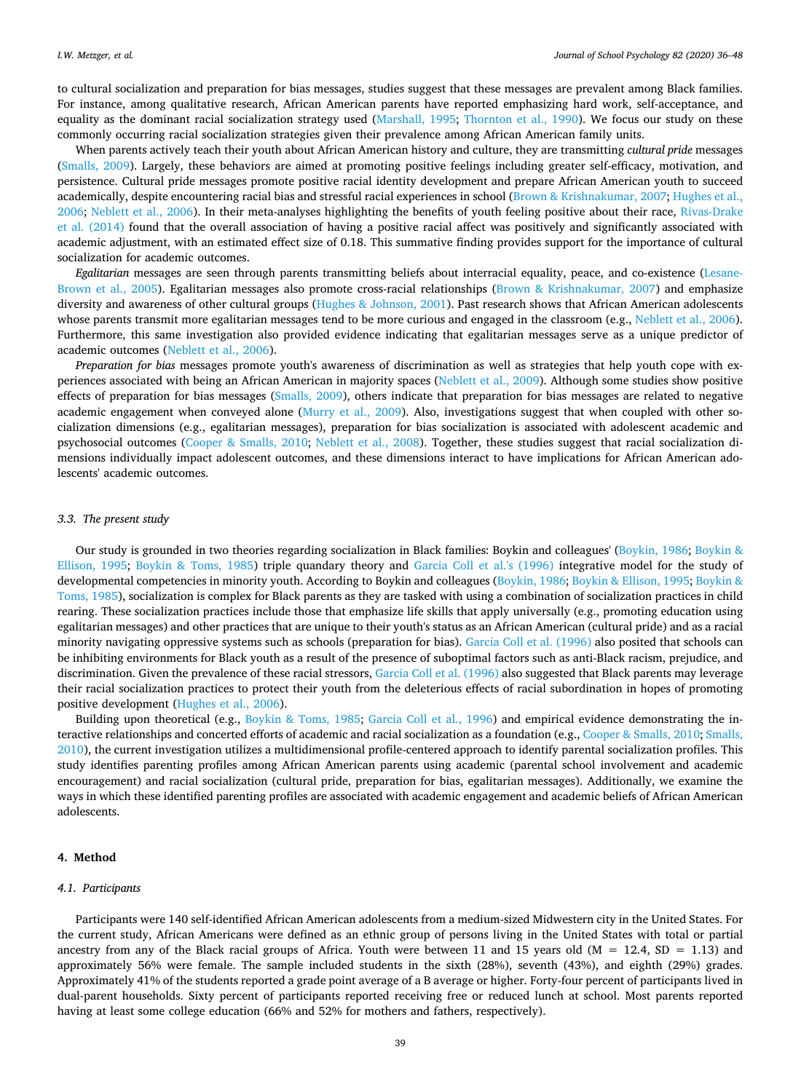to cultural socialization and preparation for bias messages, studies suggest that these messages are prevalent among Black families. For instance, among qualitative research, African American parents have reported emphasizing hard work, self-acceptance, and equality as the dominant racial socialization strategy used [\(Marshall, 1995](#page-11-23); [Thornton et al., 1990](#page-12-24)). We focus our study on these commonly occurring racial socialization strategies given their prevalence among African American family units.

When parents actively teach their youth about African American history and culture, they are transmitting *cultural pride* messages [\(Smalls, 2009](#page-12-22)). Largely, these behaviors are aimed at promoting positive feelings including greater self-efficacy, motivation, and persistence. Cultural pride messages promote positive racial identity development and prepare African American youth to succeed academically, despite encountering racial bias and stressful racial experiences in school [\(Brown & Krishnakumar, 2007](#page-10-12); [Hughes et al.,](#page-11-5) [2006;](#page-11-5) [Neblett et al., 2006](#page-11-6)). In their meta-analyses highlighting the benefits of youth feeling positive about their race, [Rivas-Drake](#page-12-25) [et al. \(2014\)](#page-12-25) found that the overall association of having a positive racial affect was positively and significantly associated with academic adjustment, with an estimated effect size of 0.18. This summative finding provides support for the importance of cultural socialization for academic outcomes.

*Egalitarian* messages are seen through parents transmitting beliefs about interracial equality, peace, and co-existence ([Lesane-](#page-11-24)[Brown et al., 2005](#page-11-24)). Egalitarian messages also promote cross-racial relationships ([Brown & Krishnakumar, 2007\)](#page-10-12) and emphasize diversity and awareness of other cultural groups [\(Hughes & Johnson, 2001\)](#page-11-25). Past research shows that African American adolescents whose parents transmit more egalitarian messages tend to be more curious and engaged in the classroom (e.g., [Neblett et al., 2006](#page-11-6)). Furthermore, this same investigation also provided evidence indicating that egalitarian messages serve as a unique predictor of academic outcomes ([Neblett et al., 2006](#page-11-6)).

*Preparation for bias* messages promote youth's awareness of discrimination as well as strategies that help youth cope with ex-periences associated with being an African American in majority spaces [\(Neblett et al., 2009\)](#page-12-26). Although some studies show positive effects of preparation for bias messages ([Smalls, 2009\)](#page-12-22), others indicate that preparation for bias messages are related to negative academic engagement when conveyed alone ([Murry et al., 2009\)](#page-11-26). Also, investigations suggest that when coupled with other socialization dimensions (e.g., egalitarian messages), preparation for bias socialization is associated with adolescent academic and psychosocial outcomes [\(Cooper & Smalls, 2010](#page-10-1); [Neblett et al., 2008](#page-12-0)). Together, these studies suggest that racial socialization dimensions individually impact adolescent outcomes, and these dimensions interact to have implications for African American adolescents' academic outcomes.

### *3.3. The present study*

Our study is grounded in two theories regarding socialization in Black families: Boykin and colleagues' ([Boykin, 1986;](#page-10-15) [Boykin &](#page-10-16) [Ellison, 1995;](#page-10-16) [Boykin & Toms, 1985](#page-10-14)) triple quandary theory and [Garcia Coll et al.'s \(1996\)](#page-11-27) integrative model for the study of developmental competencies in minority youth. According to Boykin and colleagues [\(Boykin, 1986;](#page-10-15) [Boykin & Ellison, 1995;](#page-10-16) [Boykin &](#page-10-14) [Toms, 1985](#page-10-14)), socialization is complex for Black parents as they are tasked with using a combination of socialization practices in child rearing. These socialization practices include those that emphasize life skills that apply universally (e.g., promoting education using egalitarian messages) and other practices that are unique to their youth's status as an African American (cultural pride) and as a racial minority navigating oppressive systems such as schools (preparation for bias). [Garcia Coll et al. \(1996\)](#page-11-27) also posited that schools can be inhibiting environments for Black youth as a result of the presence of suboptimal factors such as anti-Black racism, prejudice, and discrimination. Given the prevalence of these racial stressors, [Garcia Coll et al. \(1996\)](#page-11-27) also suggested that Black parents may leverage their racial socialization practices to protect their youth from the deleterious effects of racial subordination in hopes of promoting positive development ([Hughes et al., 2006](#page-11-5)).

Building upon theoretical (e.g., [Boykin & Toms, 1985](#page-10-14); [Garcia Coll et al., 1996](#page-11-27)) and empirical evidence demonstrating the in-teractive relationships and concerted efforts of academic and racial socialization as a foundation (e.g., [Cooper & Smalls, 2010;](#page-10-1) [Smalls,](#page-12-2) [2010\)](#page-12-2), the current investigation utilizes a multidimensional profile-centered approach to identify parental socialization profiles. This study identifies parenting profiles among African American parents using academic (parental school involvement and academic encouragement) and racial socialization (cultural pride, preparation for bias, egalitarian messages). Additionally, we examine the ways in which these identified parenting profiles are associated with academic engagement and academic beliefs of African American adolescents.

# **4. Method**

# *4.1. Participants*

Participants were 140 self-identified African American adolescents from a medium-sized Midwestern city in the United States. For the current study, African Americans were defined as an ethnic group of persons living in the United States with total or partial ancestry from any of the Black racial groups of Africa. Youth were between 11 and 15 years old ( $M = 12.4$ ,  $SD = 1.13$ ) and approximately 56% were female. The sample included students in the sixth (28%), seventh (43%), and eighth (29%) grades. Approximately 41% of the students reported a grade point average of a B average or higher. Forty-four percent of participants lived in dual-parent households. Sixty percent of participants reported receiving free or reduced lunch at school. Most parents reported having at least some college education (66% and 52% for mothers and fathers, respectively).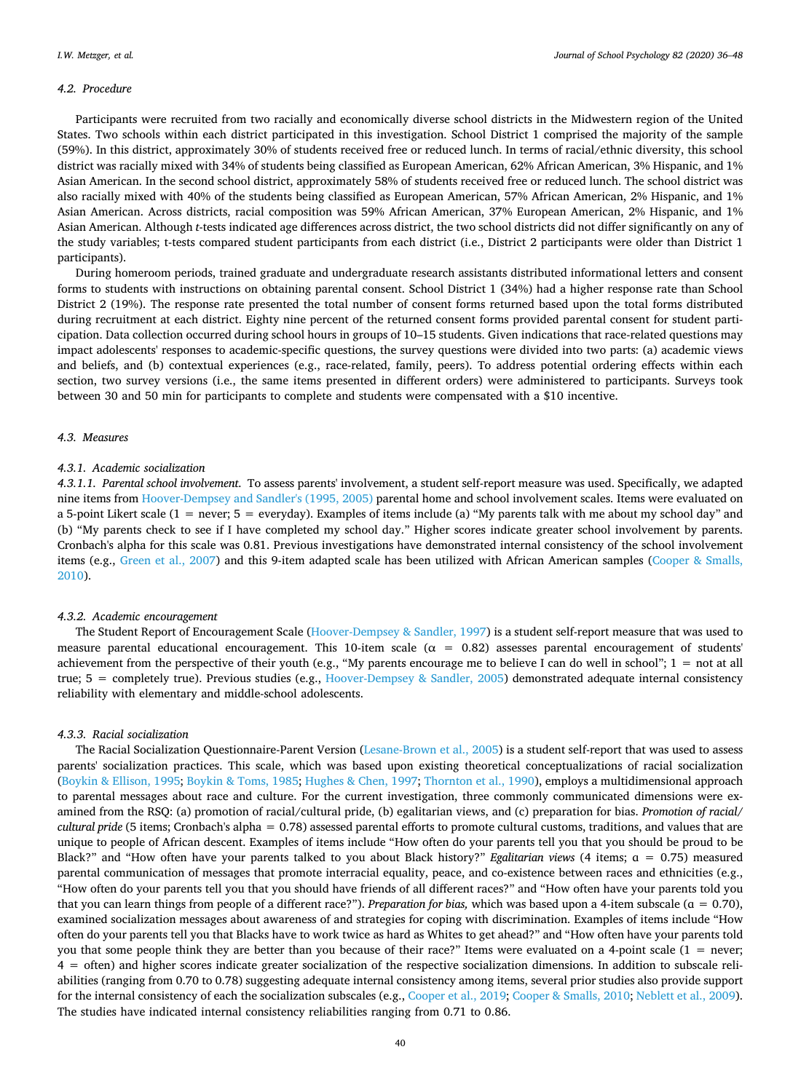# *4.2. Procedure*

Participants were recruited from two racially and economically diverse school districts in the Midwestern region of the United States. Two schools within each district participated in this investigation. School District 1 comprised the majority of the sample (59%). In this district, approximately 30% of students received free or reduced lunch. In terms of racial/ethnic diversity, this school district was racially mixed with 34% of students being classified as European American, 62% African American, 3% Hispanic, and 1% Asian American. In the second school district, approximately 58% of students received free or reduced lunch. The school district was also racially mixed with 40% of the students being classified as European American, 57% African American, 2% Hispanic, and 1% Asian American. Across districts, racial composition was 59% African American, 37% European American, 2% Hispanic, and 1% Asian American. Although *t*-tests indicated age differences across district, the two school districts did not differ significantly on any of the study variables; t-tests compared student participants from each district (i.e., District 2 participants were older than District 1 participants).

During homeroom periods, trained graduate and undergraduate research assistants distributed informational letters and consent forms to students with instructions on obtaining parental consent. School District 1 (34%) had a higher response rate than School District 2 (19%). The response rate presented the total number of consent forms returned based upon the total forms distributed during recruitment at each district. Eighty nine percent of the returned consent forms provided parental consent for student participation. Data collection occurred during school hours in groups of 10–15 students. Given indications that race-related questions may impact adolescents' responses to academic-specific questions, the survey questions were divided into two parts: (a) academic views and beliefs, and (b) contextual experiences (e.g., race-related, family, peers). To address potential ordering effects within each section, two survey versions (i.e., the same items presented in different orders) were administered to participants. Surveys took between 30 and 50 min for participants to complete and students were compensated with a \$10 incentive.

### *4.3. Measures*

### *4.3.1. Academic socialization*

*4.3.1.1. Parental school involvement*. To assess parents' involvement, a student self-report measure was used. Specifically, we adapted nine items from [Hoover-Dempsey and Sandler's \(1995, 2005\)](#page-11-28) parental home and school involvement scales. Items were evaluated on a 5-point Likert scale (1 = never; 5 = everyday). Examples of items include (a) "My parents talk with me about my school day" and (b) "My parents check to see if I have completed my school day." Higher scores indicate greater school involvement by parents. Cronbach's alpha for this scale was 0.81. Previous investigations have demonstrated internal consistency of the school involvement items (e.g., [Green et al., 2007\)](#page-11-29) and this 9-item adapted scale has been utilized with African American samples ([Cooper & Smalls,](#page-10-1) [2010\)](#page-10-1).

### *4.3.2. Academic encouragement*

The Student Report of Encouragement Scale [\(Hoover-Dempsey & Sandler, 1997\)](#page-11-30) is a student self-report measure that was used to measure parental educational encouragement. This 10-item scale ( $\alpha$  = 0.82) assesses parental encouragement of students' achievement from the perspective of their youth (e.g., "My parents encourage me to believe I can do well in school"; 1 = not at all true; 5 = completely true). Previous studies (e.g., [Hoover-Dempsey & Sandler, 2005\)](#page-11-31) demonstrated adequate internal consistency reliability with elementary and middle-school adolescents.

#### *4.3.3. Racial socialization*

The Racial Socialization Questionnaire-Parent Version [\(Lesane-Brown et al., 2005\)](#page-11-24) is a student self-report that was used to assess parents' socialization practices. This scale, which was based upon existing theoretical conceptualizations of racial socialization [\(Boykin & Ellison, 1995;](#page-10-16) [Boykin & Toms, 1985](#page-10-14); [Hughes & Chen, 1997](#page-11-32); [Thornton et al., 1990](#page-12-24)), employs a multidimensional approach to parental messages about race and culture. For the current investigation, three commonly communicated dimensions were examined from the RSQ: (a) promotion of racial/cultural pride, (b) egalitarian views, and (c) preparation for bias. *Promotion of racial/ cultural pride* (5 items; Cronbach's alpha = 0.78) assessed parental efforts to promote cultural customs, traditions, and values that are unique to people of African descent. Examples of items include "How often do your parents tell you that you should be proud to be Black?" and "How often have your parents talked to you about Black history?" *Egalitarian views* (4 items; ɑ = 0.75) measured parental communication of messages that promote interracial equality, peace, and co-existence between races and ethnicities (e.g., "How often do your parents tell you that you should have friends of all different races?" and "How often have your parents told you that you can learn things from people of a different race?"). *Preparation for bias,* which was based upon a 4-item subscale (ɑ = 0.70), examined socialization messages about awareness of and strategies for coping with discrimination. Examples of items include "How often do your parents tell you that Blacks have to work twice as hard as Whites to get ahead?" and "How often have your parents told you that some people think they are better than you because of their race?" Items were evaluated on a 4-point scale  $(1 = never;$ 4 = often) and higher scores indicate greater socialization of the respective socialization dimensions. In addition to subscale reliabilities (ranging from 0.70 to 0.78) suggesting adequate internal consistency among items, several prior studies also provide support for the internal consistency of each the socialization subscales (e.g., [Cooper et al., 2019](#page-10-17); [Cooper & Smalls, 2010](#page-10-1); [Neblett et al., 2009](#page-12-26)). The studies have indicated internal consistency reliabilities ranging from 0.71 to 0.86.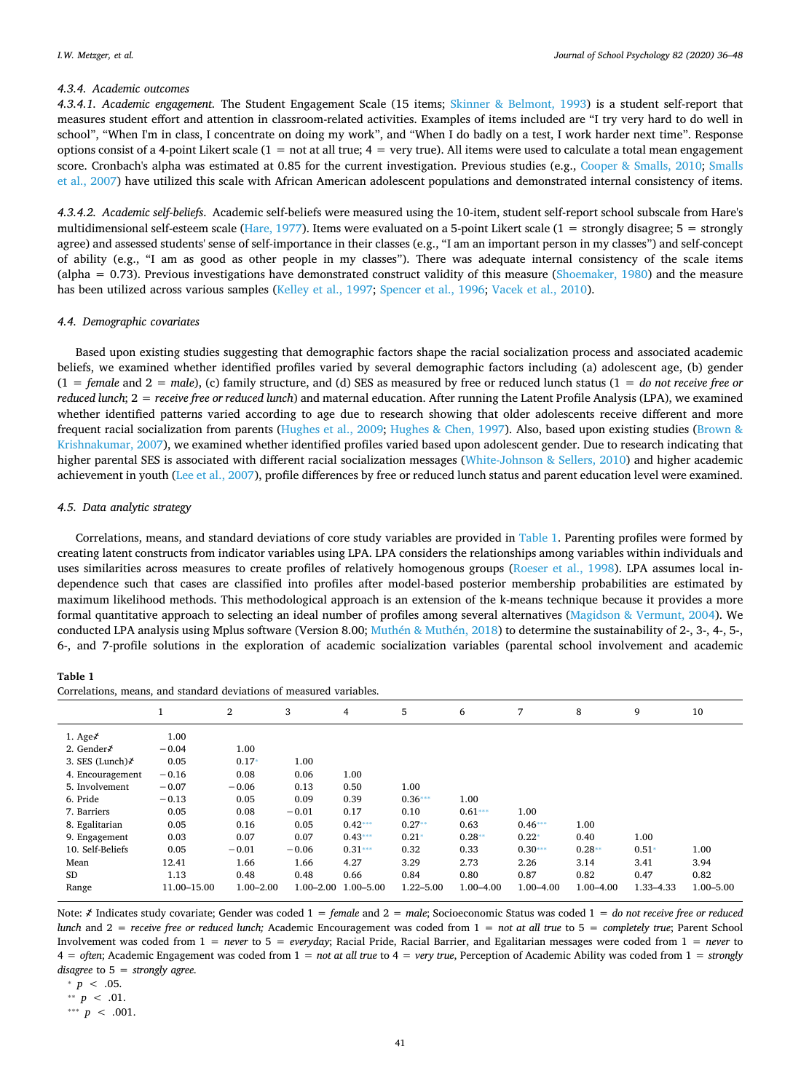### *4.3.4. Academic outcomes*

*4.3.4.1. Academic engagement*. The Student Engagement Scale (15 items; [Skinner & Belmont, 1993\)](#page-12-27) is a student self-report that measures student effort and attention in classroom-related activities. Examples of items included are "I try very hard to do well in school", "When I'm in class, I concentrate on doing my work", and "When I do badly on a test, I work harder next time". Response options consist of a 4-point Likert scale  $(1 = not at all true; 4 = very true)$ . All items were used to calculate a total mean engagement score. Cronbach's alpha was estimated at 0.85 for the current investigation. Previous studies (e.g., [Cooper & Smalls, 2010](#page-10-1); [Smalls](#page-12-1) [et al., 2007](#page-12-1)) have utilized this scale with African American adolescent populations and demonstrated internal consistency of items.

*4.3.4.2. Academic self-beliefs*. Academic self-beliefs were measured using the 10-item, student self-report school subscale from Hare's multidimensional self-esteem scale [\(Hare, 1977](#page-11-33)). Items were evaluated on a 5-point Likert scale ( $1 =$  strongly disagree;  $5 =$  strongly agree) and assessed students' sense of self-importance in their classes (e.g., "I am an important person in my classes") and self-concept of ability (e.g., "I am as good as other people in my classes"). There was adequate internal consistency of the scale items (alpha = 0.73). Previous investigations have demonstrated construct validity of this measure [\(Shoemaker, 1980](#page-12-28)) and the measure has been utilized across various samples [\(Kelley et al., 1997;](#page-11-34) [Spencer et al., 1996;](#page-12-29) [Vacek et al., 2010](#page-12-30)).

# *4.4. Demographic covariates*

Based upon existing studies suggesting that demographic factors shape the racial socialization process and associated academic beliefs, we examined whether identified profiles varied by several demographic factors including (a) adolescent age, (b) gender (1 = *female* and 2 = *male*), (c) family structure, and (d) SES as measured by free or reduced lunch status (1 = *do not receive free or reduced lunch*; 2 = *receive free or reduced lunch*) and maternal education. After running the Latent Profile Analysis (LPA), we examined whether identified patterns varied according to age due to research showing that older adolescents receive different and more frequent racial socialization from parents [\(Hughes et al., 2009;](#page-11-35) [Hughes & Chen, 1997](#page-11-32)). Also, based upon existing studies [\(Brown &](#page-10-12) [Krishnakumar, 2007\)](#page-10-12), we examined whether identified profiles varied based upon adolescent gender. Due to research indicating that higher parental SES is associated with different racial socialization messages [\(White-Johnson & Sellers, 2010\)](#page-12-11) and higher academic achievement in youth ([Lee et al., 2007\)](#page-11-36), profile differences by free or reduced lunch status and parent education level were examined.

## *4.5. Data analytic strategy*

Correlations, means, and standard deviations of core study variables are provided in [Table 1](#page-5-0). Parenting profiles were formed by creating latent constructs from indicator variables using LPA. LPA considers the relationships among variables within individuals and uses similarities across measures to create profiles of relatively homogenous groups ([Roeser et al., 1998\)](#page-12-31). LPA assumes local independence such that cases are classified into profiles after model-based posterior membership probabilities are estimated by maximum likelihood methods. This methodological approach is an extension of the k-means technique because it provides a more formal quantitative approach to selecting an ideal number of profiles among several alternatives ([Magidson & Vermunt, 2004](#page-11-37)). We conducted LPA analysis using Mplus software (Version 8.00; [Muthén & Muthén, 2018\)](#page-11-38) to determine the sustainability of 2-, 3-, 4-, 5-, 6-, and 7-profile solutions in the exploration of academic socialization variables (parental school involvement and academic

### <span id="page-5-0"></span>**Table 1**

Correlations, means, and standard deviations of measured variables.

|                         |             | $\overline{2}$ | 3             | $\overline{4}$ | 5             | 6         | 7         | 8         | 9         | 10        |
|-------------------------|-------------|----------------|---------------|----------------|---------------|-----------|-----------|-----------|-----------|-----------|
| 1. Age $\angle$         | 1.00        |                |               |                |               |           |           |           |           |           |
| 2. Gender⊁              | $-0.04$     | 1.00           |               |                |               |           |           |           |           |           |
| 3. SES (Lunch) $\angle$ | 0.05        | $0.17*$        | 1.00          |                |               |           |           |           |           |           |
| 4. Encouragement        | $-0.16$     | 0.08           | 0.06          | 1.00           |               |           |           |           |           |           |
| 5. Involvement          | $-0.07$     | $-0.06$        | 0.13          | 0.50           | 1.00          |           |           |           |           |           |
| 6. Pride                | $-0.13$     | 0.05           | 0.09          | 0.39           | $0.36***$     | 1.00      |           |           |           |           |
| 7. Barriers             | 0.05        | 0.08           | $-0.01$       | 0.17           | 0.10          | $0.61***$ | 1.00      |           |           |           |
| 8. Egalitarian          | 0.05        | 0.16           | 0.05          | $0.42***$      | $0.27**$      | 0.63      | $0.46***$ | 1.00      |           |           |
| 9. Engagement           | 0.03        | 0.07           | 0.07          | $0.43***$      | $0.21*$       | $0.28**$  | $0.22*$   | 0.40      | 1.00      |           |
| 10. Self-Beliefs        | 0.05        | $-0.01$        | $-0.06$       | $0.31***$      | 0.32          | 0.33      | $0.30***$ | $0.28**$  | $0.51*$   | 1.00      |
| Mean                    | 12.41       | 1.66           | 1.66          | 4.27           | 3.29          | 2.73      | 2.26      | 3.14      | 3.41      | 3.94      |
| <b>SD</b>               | 1.13        | 0.48           | 0.48          | 0.66           | 0.84          | 0.80      | 0.87      | 0.82      | 0.47      | 0.82      |
| Range                   | 11.00-15.00 | $1.00 - 2.00$  | $1.00 - 2.00$ | $1.00 - 5.00$  | $1.22 - 5.00$ | 1.00-4.00 | 1.00-4.00 | 1.00-4.00 | 1.33-4.33 | 1.00-5.00 |

Note: ҂ Indicates study covariate; Gender was coded 1 = *female* and 2 = *male*; Socioeconomic Status was coded 1 = *do not receive free or reduced lunch* and 2 = *receive free or reduced lunch;* Academic Encouragement was coded from 1 = *not at all true* to 5 = *completely true*; Parent School Involvement was coded from 1 = *never* to 5 = *everyday*; Racial Pride, Racial Barrier, and Egalitarian messages were coded from 1 = *never* to 4 = *often*; Academic Engagement was coded from 1 = *not at all true* to 4 = *very true*, Perception of Academic Ability was coded from 1 = *strongly disagree* to 5 = *strongly agree.* 

<span id="page-5-1"></span>\* 
$$
p < .05
$$
.

<span id="page-5-3"></span>\*\*  $p \, < \, .01$ .

<span id="page-5-2"></span>\*\*\*  $p \le .001$ .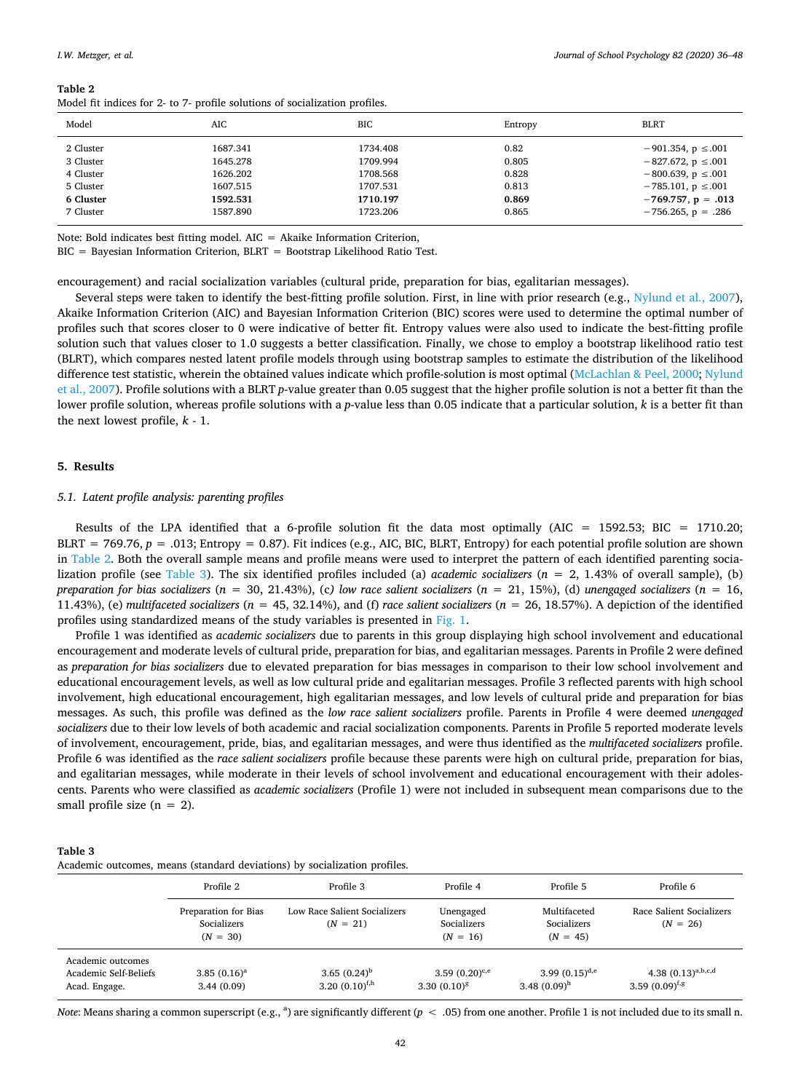#### <span id="page-6-0"></span>**Table 2**

Model fit indices for 2- to 7- profile solutions of socialization profiles.

| Model     | AIC      | BIC      | Entropy | <b>BLRT</b>                |  |
|-----------|----------|----------|---------|----------------------------|--|
| 2 Cluster | 1687.341 | 1734.408 | 0.82    | $-901.354$ , $p \le 0.001$ |  |
| 3 Cluster | 1645.278 | 1709.994 | 0.805   | $-827.672$ , $p \le .001$  |  |
| 4 Cluster | 1626.202 | 1708.568 | 0.828   | $-800.639$ , $p \le 0.001$ |  |
| 5 Cluster | 1607.515 | 1707.531 | 0.813   | $-785.101$ , $p \le 0.001$ |  |
| 6 Cluster | 1592.531 | 1710.197 | 0.869   | $-769.757$ , p = .013      |  |
| 7 Cluster | 1587.890 | 1723.206 | 0.865   | $-756.265$ , p = .286      |  |

Note: Bold indicates best fitting model.  $AIC = Akaike$  Information Criterion,

BIC = Bayesian Information Criterion, BLRT = Bootstrap Likelihood Ratio Test.

encouragement) and racial socialization variables (cultural pride, preparation for bias, egalitarian messages).

Several steps were taken to identify the best-fitting profile solution. First, in line with prior research (e.g., [Nylund et al., 2007](#page-12-32)), Akaike Information Criterion (AIC) and Bayesian Information Criterion (BIC) scores were used to determine the optimal number of profiles such that scores closer to 0 were indicative of better fit. Entropy values were also used to indicate the best-fitting profile solution such that values closer to 1.0 suggests a better classification. Finally, we chose to employ a bootstrap likelihood ratio test (BLRT), which compares nested latent profile models through using bootstrap samples to estimate the distribution of the likelihood difference test statistic, wherein the obtained values indicate which profile-solution is most optimal ([McLachlan & Peel, 2000](#page-11-39); [Nylund](#page-12-32) [et al., 2007](#page-12-32)). Profile solutions with a BLRT *p*-value greater than 0.05 suggest that the higher profile solution is not a better fit than the lower profile solution, whereas profile solutions with a *p*-value less than 0.05 indicate that a particular solution, *k* is a better fit than the next lowest profile, *k* - 1.

## **5. Results**

### *5.1. Latent profile analysis: parenting profiles*

Results of the LPA identified that a 6-profile solution fit the data most optimally (AIC = 1592.53; BIC = 1710.20; BLRT = 769.76,  $p = .013$ ; Entropy = 0.87). Fit indices (e.g., AIC, BIC, BLRT, Entropy) for each potential profile solution are shown in [Table 2](#page-6-0). Both the overall sample means and profile means were used to interpret the pattern of each identified parenting socialization profile (see [Table 3](#page-6-1)). The six identified profiles included (a) *academic socializers* (*n* = 2, 1.43% of overall sample), (b) *preparation for bias socializers* (*n* = 30, 21.43%), (c*) low race salient socializers* (*n* = 21, 15%), (d) *unengaged socializers* (*n* = 16, 11.43%), (e) *multifaceted socializers* (*n* = 45, 32.14%), and (f) *race salient socializers* (*n* = 26, 18.57%). A depiction of the identified profiles using standardized means of the study variables is presented in [Fig. 1.](#page-7-0)

Profile 1 was identified as *academic socializers* due to parents in this group displaying high school involvement and educational encouragement and moderate levels of cultural pride, preparation for bias, and egalitarian messages. Parents in Profile 2 were defined as *preparation for bias socializers* due to elevated preparation for bias messages in comparison to their low school involvement and educational encouragement levels, as well as low cultural pride and egalitarian messages. Profile 3 reflected parents with high school involvement, high educational encouragement, high egalitarian messages, and low levels of cultural pride and preparation for bias messages. As such, this profile was defined as the *low race salient socializers* profile. Parents in Profile 4 were deemed *unengaged socializers* due to their low levels of both academic and racial socialization components. Parents in Profile 5 reported moderate levels of involvement, encouragement, pride, bias, and egalitarian messages, and were thus identified as the *multifaceted socializers* profile. Profile 6 was identified as the *race salient socializers* profile because these parents were high on cultural pride, preparation for bias, and egalitarian messages, while moderate in their levels of school involvement and educational encouragement with their adolescents. Parents who were classified as *academic socializers* (Profile 1) were not included in subsequent mean comparisons due to the small profile size  $(n = 2)$ .

# <span id="page-6-1"></span>**Table 3**

Academic outcomes, means (standard deviations) by socialization profiles.

|                                                             | Profile 2                                         | Profile 3                                         | Profile 4                              | Profile 5                                 | Profile 6                                               |  |
|-------------------------------------------------------------|---------------------------------------------------|---------------------------------------------------|----------------------------------------|-------------------------------------------|---------------------------------------------------------|--|
|                                                             | Preparation for Bias<br>Socializers<br>$(N = 30)$ | Low Race Salient Socializers<br>$(N = 21)$        | Unengaged<br>Socializers<br>$(N = 16)$ | Multifaceted<br>Socializers<br>$(N = 45)$ | Race Salient Socializers<br>$(N = 26)$                  |  |
| Academic outcomes<br>Academic Self-Beliefs<br>Acad. Engage. | 3.85 $(0.16)^a$<br>3.44(0.09)                     | 3.65 $(0.24)^{b}$<br>3.20 $(0.10)$ <sup>f,h</sup> | 3.59 $(0.20)^{c,e}$<br>3.30 $(0.10)^8$ | 3.99 $(0.15)^{d,e}$<br>3.48 $(0.09)^h$    | 4.38 $(0.13)^{a,b,c,d}$<br>3.59 $(0.09)$ <sup>f,g</sup> |  |

*Note*: Means sharing a common superscript (e.g., <sup>a</sup>) are significantly different ( $p < .05$ ) from one another. Profile 1 is not included due to its small n.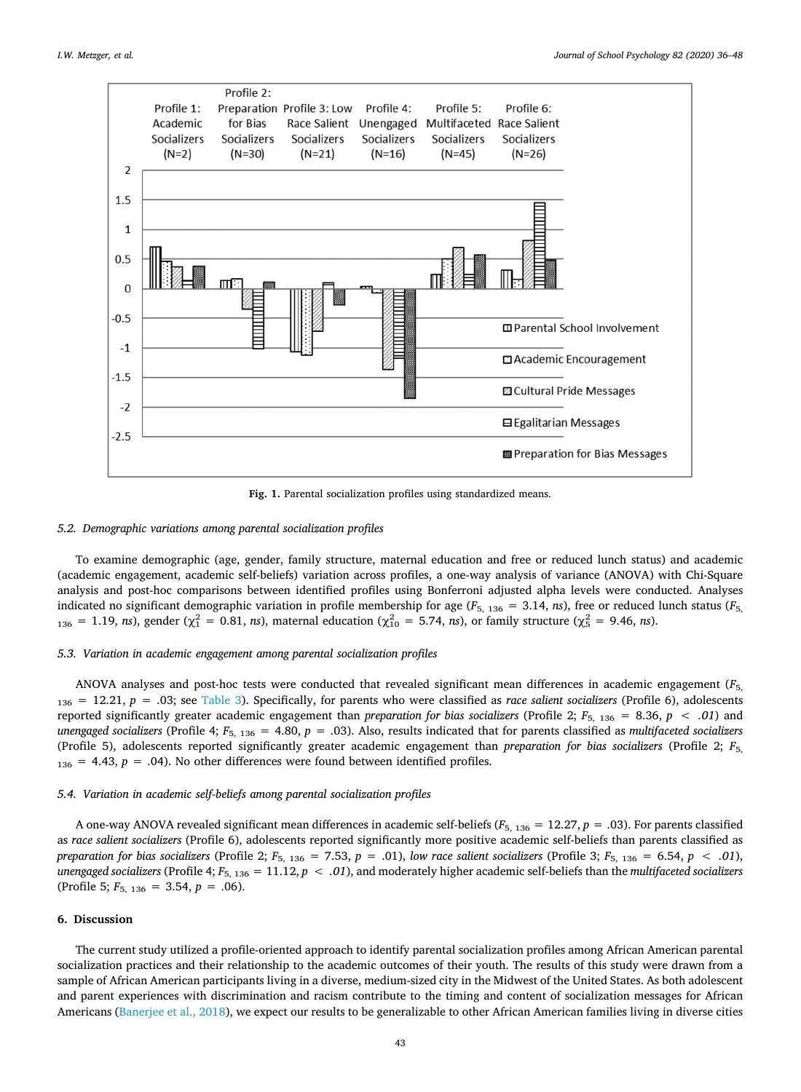<span id="page-7-0"></span>

Fig. 1. Parental socialization profiles using standardized means.

### *5.2. Demographic variations among parental socialization profiles*

To examine demographic (age, gender, family structure, maternal education and free or reduced lunch status) and academic (academic engagement, academic self-beliefs) variation across profiles, a one-way analysis of variance (ANOVA) with Chi-Square analysis and post-hoc comparisons between identified profiles using Bonferroni adjusted alpha levels were conducted. Analyses indicated no significant demographic variation in profile membership for age ( $F_{5, 136} = 3.14$ , *ns*), free or reduced lunch status ( $F_{5, 136}$ )  $_{136}$  = 1.19, *ns*), gender ( $\chi_1^2$  = 0.81, *ns*), maternal education ( $\chi_{10}^2$  = 5.74, *ns*), or family structure ( $\chi_5^2$  = 9.46, *ns*).

### *5.3. Variation in academic engagement among parental socialization profiles*

ANOVA analyses and post-hoc tests were conducted that revealed significant mean differences in academic engagement (*F*5, 136 = 12.21, *p* = .03; see [Table 3](#page-6-1)). Specifically, for parents who were classified as *race salient socializers* (Profile 6), adolescents reported significantly greater academic engagement than *preparation for bias socializers* (Profile 2; *F*5, 136 = 8.36, *p < .01*) and *unengaged socializers* (Profile 4; *F*5, 136 = 4.80, *p* = .03). Also, results indicated that for parents classified as *multifaceted socializers*  (Profile 5), adolescents reported significantly greater academic engagement than *preparation for bias socializers* (Profile 2; *F*5,  $_{136}$  = 4.43,  $p = .04$ ). No other differences were found between identified profiles.

### *5.4. Variation in academic self-beliefs among parental socialization profiles*

A one-way ANOVA revealed significant mean differences in academic self-beliefs ( $F_{5, 136} = 12.27$ ,  $p = .03$ ). For parents classified as *race salient socializers* (Profile 6), adolescents reported significantly more positive academic self-beliefs than parents classified as *preparation for bias socializers* (Profile 2; *F*5, 136 = 7.53, *p* = .01), *low race salient socializers* (Profile 3; *F*5, 136 = 6.54, *p < .01*), *unengaged socializers* (Profile 4; *F*5, 136 = 11.12, *p < .01*), and moderately higher academic self-beliefs than the *multifaceted socializers*  (Profile 5; *F*5, 136 = 3.54, *p* = .06).

# **6. Discussion**

The current study utilized a profile-oriented approach to identify parental socialization profiles among African American parental socialization practices and their relationship to the academic outcomes of their youth. The results of this study were drawn from a sample of African American participants living in a diverse, medium-sized city in the Midwest of the United States. As both adolescent and parent experiences with discrimination and racism contribute to the timing and content of socialization messages for African Americans [\(Banerjee et al., 2018](#page-10-18)), we expect our results to be generalizable to other African American families living in diverse cities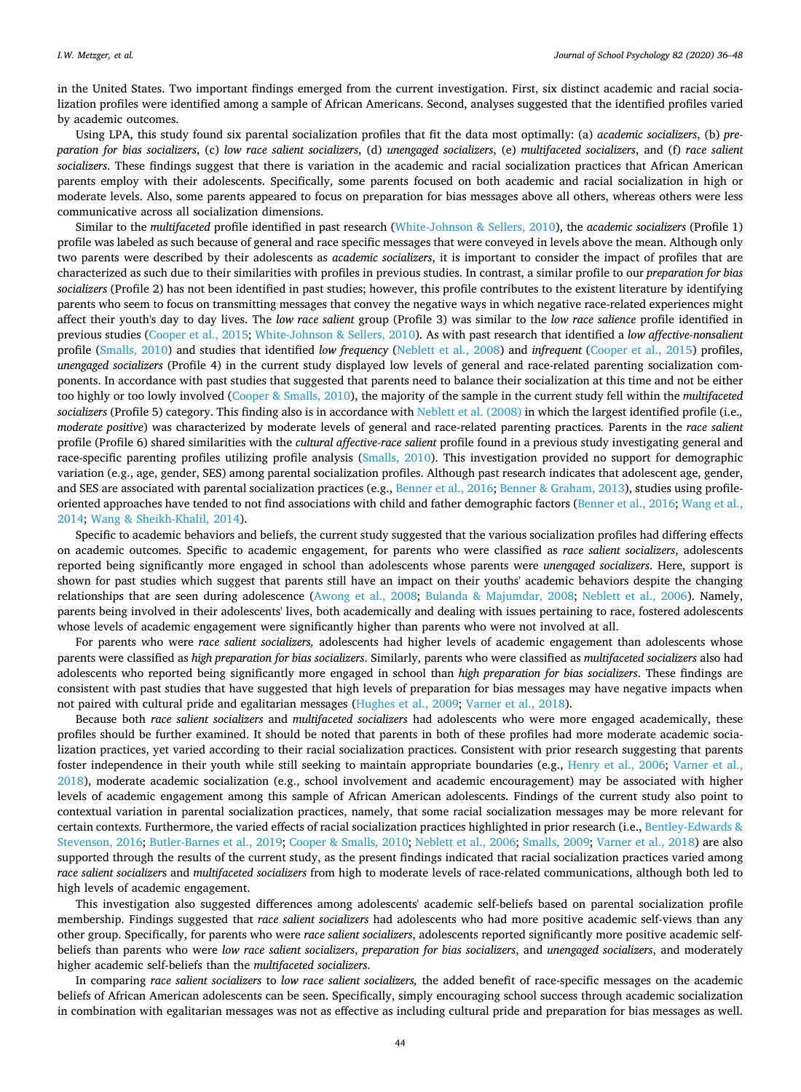in the United States. Two important findings emerged from the current investigation. First, six distinct academic and racial socialization profiles were identified among a sample of African Americans. Second, analyses suggested that the identified profiles varied by academic outcomes.

Using LPA, this study found six parental socialization profiles that fit the data most optimally: (a) *academic socializers*, (b) *preparation for bias socializers*, (c) *low race salient socializers*, (d) *unengaged socializers*, (e) *multifaceted socializers*, and (f) *race salient socializers*. These findings suggest that there is variation in the academic and racial socialization practices that African American parents employ with their adolescents. Specifically, some parents focused on both academic and racial socialization in high or moderate levels. Also, some parents appeared to focus on preparation for bias messages above all others, whereas others were less communicative across all socialization dimensions.

Similar to the *multifaceted* profile identified in past research ([White-Johnson & Sellers, 2010\)](#page-12-11), the *academic socializers* (Profile 1) profile was labeled as such because of general and race specific messages that were conveyed in levels above the mean. Although only two parents were described by their adolescents as *academic socializers*, it is important to consider the impact of profiles that are characterized as such due to their similarities with profiles in previous studies. In contrast, a similar profile to our *preparation for bias socializers* (Profile 2) has not been identified in past studies; however, this profile contributes to the existent literature by identifying parents who seem to focus on transmitting messages that convey the negative ways in which negative race-related experiences might affect their youth's day to day lives. The *low race salient* group (Profile 3) was similar to the *low race salience* profile identified in previous studies [\(Cooper et al., 2015;](#page-11-14) [White-Johnson & Sellers, 2010](#page-12-11)). As with past research that identified a *low affective-nonsalient*  profile [\(Smalls, 2010](#page-12-2)) and studies that identified *low frequency* ([Neblett et al., 2008\)](#page-12-0) and *infrequent* [\(Cooper et al., 2015\)](#page-11-14) profiles, *unengaged socializers* (Profile 4) in the current study displayed low levels of general and race-related parenting socialization components. In accordance with past studies that suggested that parents need to balance their socialization at this time and not be either too highly or too lowly involved ([Cooper & Smalls, 2010](#page-10-1)), the majority of the sample in the current study fell within the *multifaceted socializers* (Profile 5) category. This finding also is in accordance with [Neblett et al. \(2008\)](#page-12-0) in which the largest identified profile (i.e.*, moderate positive*) was characterized by moderate levels of general and race-related parenting practices*.* Parents in the *race salient*  profile (Profile 6) shared similarities with the *cultural affective-race salient* profile found in a previous study investigating general and race-specific parenting profiles utilizing profile analysis [\(Smalls, 2010\)](#page-12-2). This investigation provided no support for demographic variation (e.g., age, gender, SES) among parental socialization profiles. Although past research indicates that adolescent age, gender, and SES are associated with parental socialization practices (e.g., [Benner et al., 2016;](#page-10-19) [Benner & Graham, 2013\)](#page-10-2), studies using profileoriented approaches have tended to not find associations with child and father demographic factors ([Benner et al., 2016](#page-10-19); [Wang et al.,](#page-12-33) [2014;](#page-12-33) [Wang & Sheikh-Khalil, 2014](#page-12-34)).

Specific to academic behaviors and beliefs, the current study suggested that the various socialization profiles had differing effects on academic outcomes. Specific to academic engagement, for parents who were classified as *race salient socializers*, adolescents reported being significantly more engaged in school than adolescents whose parents were *unengaged socializers*. Here, support is shown for past studies which suggest that parents still have an impact on their youths' academic behaviors despite the changing relationships that are seen during adolescence [\(Awong et al., 2008;](#page-10-20) [Bulanda & Majumdar, 2008](#page-10-21); [Neblett et al., 2006](#page-11-6)). Namely, parents being involved in their adolescents' lives, both academically and dealing with issues pertaining to race, fostered adolescents whose levels of academic engagement were significantly higher than parents who were not involved at all.

For parents who were *race salient socializers,* adolescents had higher levels of academic engagement than adolescents whose parents were classified as *high preparation for bias socializers*. Similarly, parents who were classified as *multifaceted socializers* also had adolescents who reported being significantly more engaged in school than *high preparation for bias socializers*. These findings are consistent with past studies that have suggested that high levels of preparation for bias messages may have negative impacts when not paired with cultural pride and egalitarian messages [\(Hughes et al., 2009;](#page-11-35) [Varner et al., 2018](#page-12-21)).

Because both *race salient socializers* and *multifaceted socializers* had adolescents who were more engaged academically, these profiles should be further examined. It should be noted that parents in both of these profiles had more moderate academic socialization practices, yet varied according to their racial socialization practices. Consistent with prior research suggesting that parents foster independence in their youth while still seeking to maintain appropriate boundaries (e.g., [Henry et al., 2006](#page-11-40); [Varner et al.,](#page-12-21) [2018\)](#page-12-21), moderate academic socialization (e.g., school involvement and academic encouragement) may be associated with higher levels of academic engagement among this sample of African American adolescents. Findings of the current study also point to contextual variation in parental socialization practices, namely, that some racial socialization messages may be more relevant for certain contexts. Furthermore, the varied effects of racial socialization practices highlighted in prior research (i.e., [Bentley-Edwards &](#page-10-22) [Stevenson, 2016](#page-10-22); [Butler-Barnes et al., 2019;](#page-10-23) [Cooper & Smalls, 2010;](#page-10-1) [Neblett et al., 2006;](#page-11-6) [Smalls, 2009;](#page-12-22) [Varner et al., 2018](#page-12-21)) are also supported through the results of the current study, as the present findings indicated that racial socialization practices varied among *race salient socializer*s and *multifaceted socializers* from high to moderate levels of race-related communications, although both led to high levels of academic engagement.

This investigation also suggested differences among adolescents' academic self-beliefs based on parental socialization profile membership. Findings suggested that *race salient socializers* had adolescents who had more positive academic self-views than any other group. Specifically, for parents who were *race salient socializers*, adolescents reported significantly more positive academic selfbeliefs than parents who were *low race salient socializers*, *preparation for bias socializers*, and *unengaged socializers*, and moderately higher academic self-beliefs than the *multifaceted socializers*.

In comparing *race salient socializers* to *low race salient socializers,* the added benefit of race-specific messages on the academic beliefs of African American adolescents can be seen. Specifically, simply encouraging school success through academic socialization in combination with egalitarian messages was not as effective as including cultural pride and preparation for bias messages as well.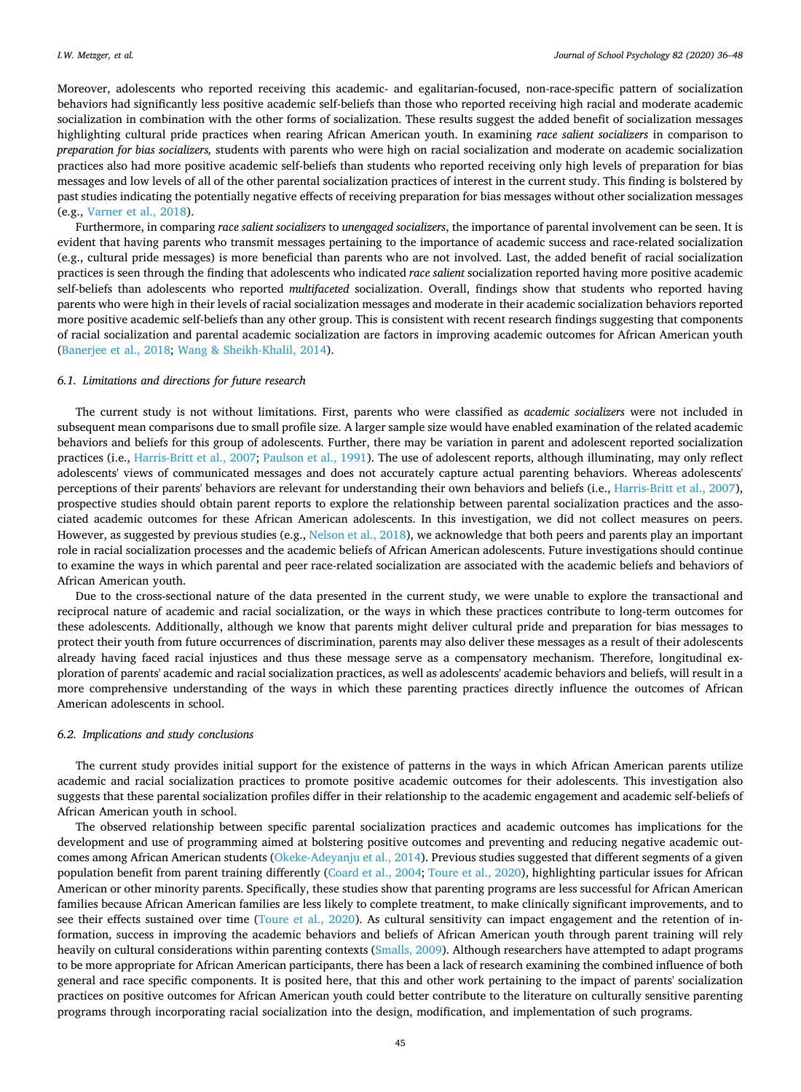Moreover, adolescents who reported receiving this academic- and egalitarian-focused, non-race-specific pattern of socialization behaviors had significantly less positive academic self-beliefs than those who reported receiving high racial and moderate academic socialization in combination with the other forms of socialization. These results suggest the added benefit of socialization messages highlighting cultural pride practices when rearing African American youth. In examining *race salient socializers* in comparison to *preparation for bias socializers,* students with parents who were high on racial socialization and moderate on academic socialization practices also had more positive academic self-beliefs than students who reported receiving only high levels of preparation for bias messages and low levels of all of the other parental socialization practices of interest in the current study. This finding is bolstered by past studies indicating the potentially negative effects of receiving preparation for bias messages without other socialization messages (e.g., [Varner et al., 2018\)](#page-12-21).

Furthermore, in comparing *race salient socializers* to *unengaged socializers*, the importance of parental involvement can be seen. It is evident that having parents who transmit messages pertaining to the importance of academic success and race-related socialization (e.g., cultural pride messages) is more beneficial than parents who are not involved. Last, the added benefit of racial socialization practices is seen through the finding that adolescents who indicated *race salient* socialization reported having more positive academic self-beliefs than adolescents who reported *multifaceted* socialization. Overall, findings show that students who reported having parents who were high in their levels of racial socialization messages and moderate in their academic socialization behaviors reported more positive academic self-beliefs than any other group. This is consistent with recent research findings suggesting that components of racial socialization and parental academic socialization are factors in improving academic outcomes for African American youth [\(Banerjee et al., 2018;](#page-10-18) [Wang & Sheikh-Khalil, 2014](#page-12-34)).

### *6.1. Limitations and directions for future research*

The current study is not without limitations. First, parents who were classified as *academic socializers* were not included in subsequent mean comparisons due to small profile size. A larger sample size would have enabled examination of the related academic behaviors and beliefs for this group of adolescents. Further, there may be variation in parent and adolescent reported socialization practices (i.e., [Harris-Britt et al., 2007](#page-11-41); [Paulson et al., 1991](#page-12-35)). The use of adolescent reports, although illuminating, may only reflect adolescents' views of communicated messages and does not accurately capture actual parenting behaviors. Whereas adolescents' perceptions of their parents' behaviors are relevant for understanding their own behaviors and beliefs (i.e., [Harris-Britt et al., 2007](#page-11-41)), prospective studies should obtain parent reports to explore the relationship between parental socialization practices and the associated academic outcomes for these African American adolescents. In this investigation, we did not collect measures on peers. However, as suggested by previous studies (e.g., [Nelson et al., 2018](#page-12-36)), we acknowledge that both peers and parents play an important role in racial socialization processes and the academic beliefs of African American adolescents. Future investigations should continue to examine the ways in which parental and peer race-related socialization are associated with the academic beliefs and behaviors of African American youth.

Due to the cross-sectional nature of the data presented in the current study, we were unable to explore the transactional and reciprocal nature of academic and racial socialization, or the ways in which these practices contribute to long-term outcomes for these adolescents. Additionally, although we know that parents might deliver cultural pride and preparation for bias messages to protect their youth from future occurrences of discrimination, parents may also deliver these messages as a result of their adolescents already having faced racial injustices and thus these message serve as a compensatory mechanism. Therefore, longitudinal exploration of parents' academic and racial socialization practices, as well as adolescents' academic behaviors and beliefs, will result in a more comprehensive understanding of the ways in which these parenting practices directly influence the outcomes of African American adolescents in school.

### *6.2. Implications and study conclusions*

The current study provides initial support for the existence of patterns in the ways in which African American parents utilize academic and racial socialization practices to promote positive academic outcomes for their adolescents. This investigation also suggests that these parental socialization profiles differ in their relationship to the academic engagement and academic self-beliefs of African American youth in school.

The observed relationship between specific parental socialization practices and academic outcomes has implications for the development and use of programming aimed at bolstering positive outcomes and preventing and reducing negative academic out-comes among African American students ([Okeke-Adeyanju et al., 2014](#page-12-37)). Previous studies suggested that different segments of a given population benefit from parent training differently [\(Coard et al., 2004;](#page-10-24) [Toure et al., 2020](#page-12-38)), highlighting particular issues for African American or other minority parents. Specifically, these studies show that parenting programs are less successful for African American families because African American families are less likely to complete treatment, to make clinically significant improvements, and to see their effects sustained over time ([Toure et al., 2020](#page-12-38)). As cultural sensitivity can impact engagement and the retention of information, success in improving the academic behaviors and beliefs of African American youth through parent training will rely heavily on cultural considerations within parenting contexts [\(Smalls, 2009](#page-12-22)). Although researchers have attempted to adapt programs to be more appropriate for African American participants, there has been a lack of research examining the combined influence of both general and race specific components. It is posited here, that this and other work pertaining to the impact of parents' socialization practices on positive outcomes for African American youth could better contribute to the literature on culturally sensitive parenting programs through incorporating racial socialization into the design, modification, and implementation of such programs.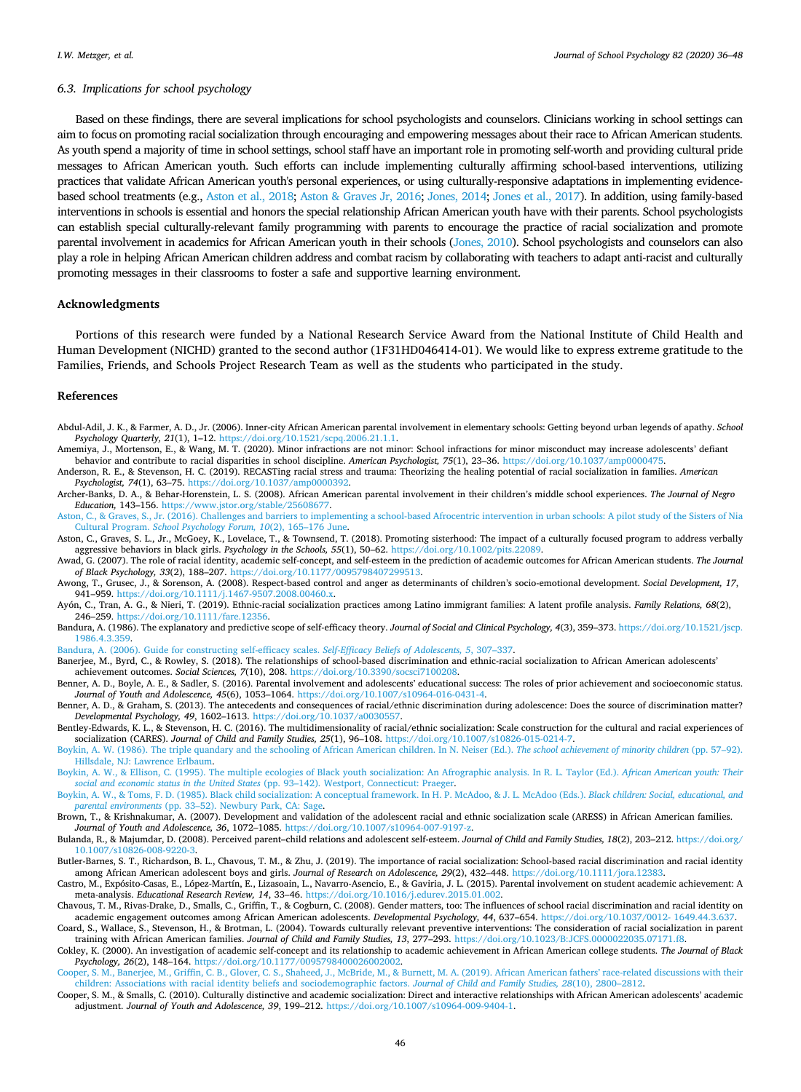### *6.3. Implications for school psychology*

Based on these findings, there are several implications for school psychologists and counselors. Clinicians working in school settings can aim to focus on promoting racial socialization through encouraging and empowering messages about their race to African American students. As youth spend a majority of time in school settings, school staff have an important role in promoting self-worth and providing cultural pride messages to African American youth. Such efforts can include implementing culturally affirming school-based interventions, utilizing practices that validate African American youth's personal experiences, or using culturally-responsive adaptations in implementing evidencebased school treatments (e.g., [Aston et al., 2018;](#page-10-25) [Aston & Graves Jr, 2016](#page-10-26); [Jones, 2014;](#page-11-42) [Jones et al., 2017](#page-11-43)). In addition, using family-based interventions in schools is essential and honors the special relationship African American youth have with their parents. School psychologists can establish special culturally-relevant family programming with parents to encourage the practice of racial socialization and promote parental involvement in academics for African American youth in their schools [\(Jones, 2010](#page-11-44)). School psychologists and counselors can also play a role in helping African American children address and combat racism by collaborating with teachers to adapt anti-racist and culturally promoting messages in their classrooms to foster a safe and supportive learning environment.

## **Acknowledgments**

Portions of this research were funded by a National Research Service Award from the National Institute of Child Health and Human Development (NICHD) granted to the second author (1F31HD046414-01). We would like to express extreme gratitude to the Families, Friends, and Schools Project Research Team as well as the students who participated in the study.

#### **References**

- <span id="page-10-9"></span>Abdul-Adil, J. K., & Farmer, A. D., Jr. (2006). Inner-city African American parental involvement in elementary schools: Getting beyond urban legends of apathy. *School Psychology Quarterly, 21*(1), 1–12. <https://doi.org/10.1521/scpq.2006.21.1.1>.
- <span id="page-10-0"></span>Amemiya, J., Mortenson, E., & Wang, M. T. (2020). Minor infractions are not minor: School infractions for minor misconduct may increase adolescents' defiant behavior and contribute to racial disparities in school discipline. *American Psychologist, 75*(1), 23–36. <https://doi.org/10.1037/amp0000475>.
- <span id="page-10-13"></span>Anderson, R. E., & Stevenson, H. C. (2019). RECASTing racial stress and trauma: Theorizing the healing potential of racial socialization in families. *American Psychologist, 74*(1), 63–75. [https://doi.org/10.1037/amp0000392.](https://doi.org/10.1037/amp0000392)
- <span id="page-10-10"></span>Archer-Banks, D. A., & Behar-Horenstein, L. S. (2008). African American parental involvement in their children's middle school experiences. *The Journal of Negro Education,* 143–156. <https://www.jstor.org/stable/25608677>.
- <span id="page-10-26"></span>[Aston, C., & Graves, S., Jr. \(2016\). Challenges and barriers to implementing a school-based Afrocentric intervention in urban schools: A pilot study of the Sisters of Nia](http://refhub.elsevier.com/S0022-4405(20)30034-0/rf0025) Cultural Program. *[School Psychology Forum, 10](http://refhub.elsevier.com/S0022-4405(20)30034-0/rf0025)*(2), 165–176 June.
- <span id="page-10-25"></span>Aston, C., Graves, S. L., Jr., McGoey, K., Lovelace, T., & Townsend, T. (2018). Promoting sisterhood: The impact of a culturally focused program to address verbally aggressive behaviors in black girls. *Psychology in the Schools, 55*(1), 50–62. [https://doi.org/10.1002/pits.22089.](https://doi.org/10.1002/pits.22089)
- <span id="page-10-4"></span>Awad, G. (2007). The role of racial identity, academic self-concept, and self-esteem in the prediction of academic outcomes for African American students. *The Journal of Black Psychology, 33*(2), 188–207. [https://doi.org/10.1177/0095798407299513.](https://doi.org/10.1177/0095798407299513)
- <span id="page-10-20"></span>Awong, T., Grusec, J., & Sorenson, A. (2008). Respect-based control and anger as determinants of children's socio-emotional development. *Social Development, 17*, 941–959. [https://doi.org/10.1111/j.1467-9507.2008.00460.x.](https://doi.org/10.1111/j.1467-9507.2008.00460.x)
- <span id="page-10-8"></span>Ayón, C., Tran, A. G., & Nieri, T. (2019). Ethnic-racial socialization practices among Latino immigrant families: A latent profile analysis. *Family Relations, 68*(2), 246–259. <https://doi.org/10.1111/fare.12356>.
- <span id="page-10-7"></span>Bandura, A. (1986). The explanatory and predictive scope of self-efficacy theory. *Journal of Social and Clinical Psychology, 4*(3), 359–373. [https://doi.org/10.1521/jscp.](https://doi.org/10.1521/jscp.1986.4.3.359) [1986.4.3.359.](https://doi.org/10.1521/jscp.1986.4.3.359)
- <span id="page-10-6"></span>[Bandura, A. \(2006\). Guide for constructing self-efficacy scales.](http://refhub.elsevier.com/S0022-4405(20)30034-0/rf0055) *Self-Efficacy Beliefs of Adolescents, 5*, 307–337.
- <span id="page-10-18"></span>Banerjee, M., Byrd, C., & Rowley, S. (2018). The relationships of school-based discrimination and ethnic-racial socialization to African American adolescents' achievement outcomes. *Social Sciences, 7*(10), 208. [https://doi.org/10.3390/socsci7100208.](https://doi.org/10.3390/socsci7100208)
- <span id="page-10-19"></span>Benner, A. D., Boyle, A. E., & Sadler, S. (2016). Parental involvement and adolescents' educational success: The roles of prior achievement and socioeconomic status. *Journal of Youth and Adolescence, 45*(6), 1053–1064.<https://doi.org/10.1007/s10964-016-0431-4>.
- <span id="page-10-2"></span>Benner, A. D., & Graham, S. (2013). The antecedents and consequences of racial/ethnic discrimination during adolescence: Does the source of discrimination matter? *Developmental Psychology, 49*, 1602–1613. <https://doi.org/10.1037/a0030557>.
- <span id="page-10-22"></span>Bentley-Edwards, K. L., & Stevenson, H. C. (2016). The multidimensionality of racial/ethnic socialization: Scale construction for the cultural and racial experiences of socialization (CARES). *Journal of Child and Family Studies, 25*(1), 96–108. <https://doi.org/10.1007/s10826-015-0214-7>.
- <span id="page-10-15"></span>[Boykin, A. W. \(1986\). The triple quandary and the schooling of African American children. In N. Neiser \(Ed.\).](http://refhub.elsevier.com/S0022-4405(20)30034-0/rf0080) *The school achievement of minority children* (pp. 57–92). [Hillsdale, NJ: Lawrence Erlbaum](http://refhub.elsevier.com/S0022-4405(20)30034-0/rf0080).
- <span id="page-10-16"></span>[Boykin, A. W., & Ellison, C. \(1995\). The multiple ecologies of Black youth socialization: An Afrographic analysis. In R. L. Taylor \(Ed.\).](http://refhub.elsevier.com/S0022-4405(20)30034-0/rf0085) *African American youth: Their social and economic status in the United States* [\(pp. 93–142\). Westport, Connecticut: Praeger.](http://refhub.elsevier.com/S0022-4405(20)30034-0/rf0085) [Boykin, A. W., & Toms, F. D. \(1985\). Black child socialization: A conceptual framework. In H. P. McAdoo, & J. L. McAdoo \(Eds.\).](http://refhub.elsevier.com/S0022-4405(20)30034-0/rf0090) *Black children: Social, educational, and*
- <span id="page-10-14"></span>*parental environments* [\(pp. 33–52\). Newbury Park, CA: Sage](http://refhub.elsevier.com/S0022-4405(20)30034-0/rf0090).
- <span id="page-10-12"></span>Brown, T., & Krishnakumar, A. (2007). Development and validation of the adolescent racial and ethnic socialization scale (ARESS) in African American families. *Journal of Youth and Adolescence, 36*, 1072–1085. <https://doi.org/10.1007/s10964-007-9197-z>.
- <span id="page-10-21"></span>Bulanda, R., & Majumdar, D. (2008). Perceived parent–child relations and adolescent self-esteem. *Journal of Child and Family Studies, 18*(2), 203–212. [https://doi.org/](https://doi.org/10.1007/s10826-008-9220-3) [10.1007/s10826-008-9220-3.](https://doi.org/10.1007/s10826-008-9220-3)
- <span id="page-10-23"></span>Butler-Barnes, S. T., Richardson, B. L., Chavous, T. M., & Zhu, J. (2019). The importance of racial socialization: School-based racial discrimination and racial identity among African American adolescent boys and girls. *Journal of Research on Adolescence, 29*(2), 432–448. [https://doi.org/10.1111/jora.12383.](https://doi.org/10.1111/jora.12383) Castro, M., Expósito-Casas, E., López-Martín, E., Lizasoain, L., Navarro-Asencio, E., & Gaviria, J. L. (2015). Parental involvement on student academic achievement: A
- <span id="page-10-11"></span><span id="page-10-3"></span>meta-analysis. *Educational Research Review, 14*, 33–46. <https://doi.org/10.1016/j.edurev.2015.01.002>. Chavous, T. M., Rivas-Drake, D., Smalls, C., Griffin, T., & Cogburn, C. (2008). Gender matters, too: The influences of school racial discrimination and racial identity on
- <span id="page-10-24"></span>academic engagement outcomes among African American adolescents. *Developmental Psychology, 44*, 637-654. https://doi.org/10.1037/0012-1649.4 Coard, S., Wallace, S., Stevenson, H., & Brotman, L. (2004). Towards culturally relevant preventive interventions: The consideration of racial socialization in parent
- <span id="page-10-5"></span>training with African American families. *Journal of Child and Family Studies, 13*, 277–293. <https://doi.org/10.1023/B:JCFS.0000022035.07171.f8>. Cokley, K. (2000). An investigation of academic self-concept and its relationship to academic achievement in African American college students. *The Journal of Black Psychology, 26*(2), 148–164. <https://doi.org/10.1177/0095798400026002002>.
- <span id="page-10-17"></span>[Cooper, S. M., Banerjee, M., Griffin, C. B., Glover, C. S., Shaheed, J., McBride, M., & Burnett, M. A. \(2019\). African American fathers' race-related discussions with their](http://refhub.elsevier.com/S0022-4405(20)30034-0/rf0130) [children: Associations with racial identity beliefs and sociodemographic factors.](http://refhub.elsevier.com/S0022-4405(20)30034-0/rf0130) *Journal of Child and Family Studies, 28*(10), 2800–2812.
- <span id="page-10-1"></span>Cooper, S. M., & Smalls, C. (2010). Culturally distinctive and academic socialization: Direct and interactive relationships with African American adolescents' academic adjustment. *Journal of Youth and Adolescence, 39*, 199–212. <https://doi.org/10.1007/s10964-009-9404-1>.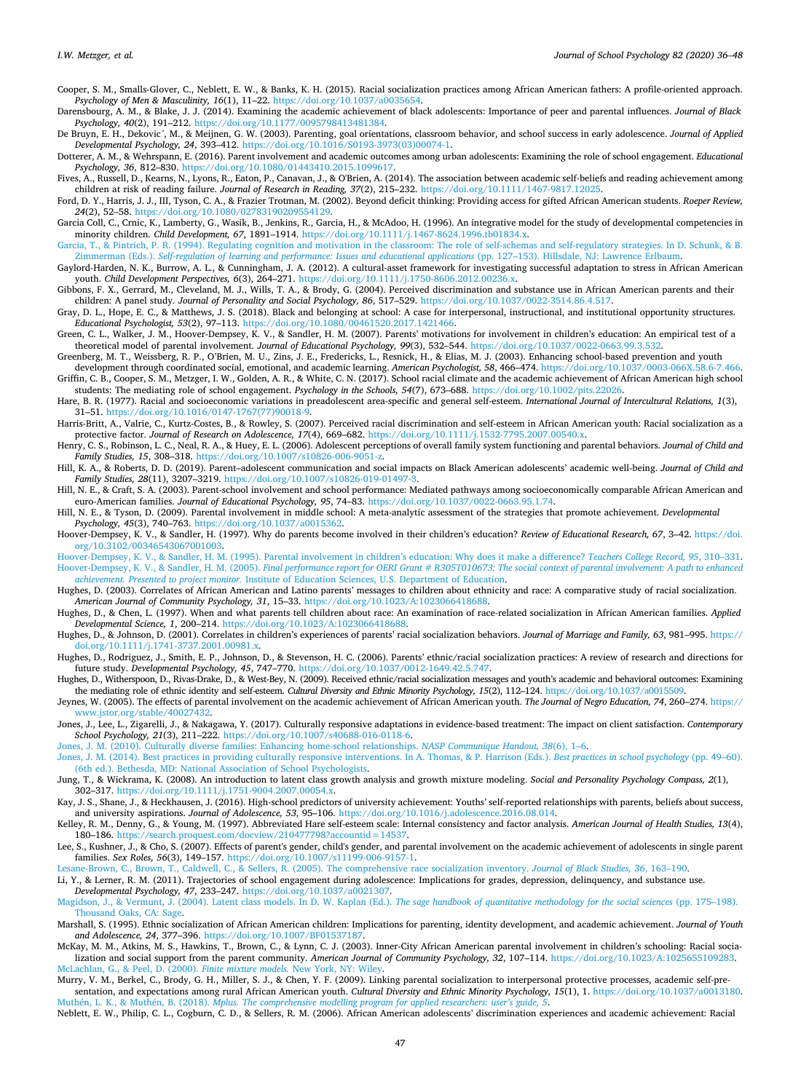- <span id="page-11-14"></span>Cooper, S. M., Smalls-Glover, C., Neblett, E. W., & Banks, K. H. (2015). Racial socialization practices among African American fathers: A profile-oriented approach. *Psychology of Men & Masculinity, 16*(1), 11–22. [https://doi.org/10.1037/a0035654.](https://doi.org/10.1037/a0035654)
- <span id="page-11-18"></span>Darensbourg, A. M., & Blake, J. J. (2014). Examining the academic achievement of black adolescents: Importance of peer and parental influences. *Journal of Black Psychology, 40*(2), 191–212. <https://doi.org/10.1177/0095798413481384>.
- <span id="page-11-16"></span>De Bruyn, E. H., Dekovic´, M., & Meijnen, G. W. (2003). Parenting, goal orientations, classroom behavior, and school success in early adolescence. *Journal of Applied Developmental Psychology, 24*, 393–412. [https://doi.org/10.1016/S0193-3973\(03\)00074-1](https://doi.org/10.1016/S0193-3973(03)00074-1).
- <span id="page-11-7"></span>Dotterer, A. M., & Wehrspann, E. (2016). Parent involvement and academic outcomes among urban adolescents: Examining the role of school engagement. *Educational Psychology, 36*, 812–830. <https://doi.org/10.1080/01443410.2015.1099617>.
- <span id="page-11-8"></span>Fives, A., Russell, D., Kearns, N., Lyons, R., Eaton, P., Canavan, J., & O'Brien, A. (2014). The association between academic self-beliefs and reading achievement among children at risk of reading failure. *Journal of Research in Reading, 37*(2), 215–232. <https://doi.org/10.1111/1467-9817.12025>.
- <span id="page-11-11"></span>Ford, D. Y., Harris, J. J., III, Tyson, C. A., & Frazier Trotman, M. (2002). Beyond deficit thinking: Providing access for gifted African American students. *Roeper Review, 24*(2), 52–58. [https://doi.org/10.1080/02783190209554129.](https://doi.org/10.1080/02783190209554129) Garcia Coll, C., Crnic, K., Lamberty, G., Wasik, B., Jenkins, R., Garcia, H., & McAdoo, H. (1996). An integrative model for the study of developmental competencies in
- <span id="page-11-27"></span>minority children. *Child Development, 67*, 1891–1914.<https://doi.org/10.1111/j.1467-8624.1996.tb01834.x>. [Garcia, T., & Pintrich, P. R. \(1994\). Regulating cognition and motivation in the classroom: The role of self-schemas and self-regulatory strategies. In D. Schunk, & B.](http://refhub.elsevier.com/S0022-4405(20)30034-0/rf0180)
- <span id="page-11-10"></span>Zimmerman (Eds.). *[Self-regulation of learning and performance: Issues and educational applications](http://refhub.elsevier.com/S0022-4405(20)30034-0/rf0180)* (pp. 127–153). Hillsdale, NJ: Lawrence Erlbaum.
- <span id="page-11-21"></span>Gaylord-Harden, N. K., Burrow, A. L., & Cunningham, J. A. (2012). A cultural-asset framework for investigating successful adaptation to stress in African American youth. *Child Development Perspectives, 6*(3), 264–271. <https://doi.org/10.1111/j.1750-8606.2012.00236.x>.
- <span id="page-11-0"></span>Gibbons, F. X., Gerrard, M., Cleveland, M. J., Wills, T. A., & Brody, G. (2004). Perceived discrimination and substance use in African American parents and their children: A panel study. *Journal of Personality and Social Psychology, 86*, 517–529. [https://doi.org/10.1037/0022-3514.86.4.517.](https://doi.org/10.1037/0022-3514.86.4.517)
- <span id="page-11-1"></span>Gray, D. L., Hope, E. C., & Matthews, J. S. (2018). Black and belonging at school: A case for interpersonal, instructional, and institutional opportunity structures. *Educational Psychologist, 53*(2), 97–113. [https://doi.org/10.1080/00461520.2017.1421466.](https://doi.org/10.1080/00461520.2017.1421466)
- <span id="page-11-29"></span>Green, C. L., Walker, J. M., Hoover-Dempsey, K. V., & Sandler, H. M. (2007). Parents' motivations for involvement in children's education: An empirical test of a theoretical model of parental involvement. *Journal of Educational Psychology, 99*(3), 532–544. <https://doi.org/10.1037/0022-0663.99.3.532>.
- <span id="page-11-3"></span>Greenberg, M. T., Weissberg, R. P., O'Brien, M. U., Zins, J. E., Fredericks, L., Resnick, H., & Elias, M. J. (2003). Enhancing school-based prevention and youth
- <span id="page-11-2"></span>development through coordinated social, emotional, and academic learning. *American Psychologist, 58*, 466–474.<https://doi.org/10.1037/0003-066X.58.6-7.466>. Griffin, C. B., Cooper, S. M., Metzger, I. W., Golden, A. R., & White, C. N. (2017). School racial climate and the academic achievement of African American high school students: The mediating role of school engagement. *Psychology in the Schools, 54*(7), 673–688. [https://doi.org/10.1002/pits.22026.](https://doi.org/10.1002/pits.22026)
- <span id="page-11-33"></span>Hare, B. R. (1977). Racial and socioeconomic variations in preadolescent area-specific and general self-esteem. *International Journal of Intercultural Relations, 1*(3), 31–51. [https://doi.org/10.1016/0147-1767\(77\)90018-9.](https://doi.org/10.1016/0147-1767(77)90018-9)
- <span id="page-11-41"></span>Harris-Britt, A., Valrie, C., Kurtz-Costes, B., & Rowley, S. (2007). Perceived racial discrimination and self-esteem in African American youth: Racial socialization as a protective factor. *Journal of Research on Adolescence, 17*(4), 669–682.<https://doi.org/10.1111/j.1532-7795.2007.00540.x>.
- <span id="page-11-40"></span>Henry, C. S., Robinson, L. C., Neal, R. A., & Huey, E. L. (2006). Adolescent perceptions of overall family system functioning and parental behaviors. *Journal of Child and Family Studies, 15*, 308–318. [https://doi.org/10.1007/s10826-006-9051-z.](https://doi.org/10.1007/s10826-006-9051-z)
- <span id="page-11-19"></span>Hill, K. A., & Roberts, D. D. (2019). Parent–adolescent communication and social impacts on Black American adolescents' academic well-being. *Journal of Child and Family Studies, 28*(11), 3207–3219. <https://doi.org/10.1007/s10826-019-01497-3>.
- <span id="page-11-17"></span>Hill, N. E., & Craft, S. A. (2003). Parent-school involvement and school performance: Mediated pathways among socioeconomically comparable African American and euro-American families. *Journal of Educational Psychology, 95*, 74–83.<https://doi.org/10.1037/0022-0663.95.1.74>.
- <span id="page-11-15"></span>Hill, N. E., & Tyson, D. (2009). Parental involvement in middle school: A meta-analytic assessment of the strategies that promote achievement. *Developmental Psychology, 45*(3), 740–763. <https://doi.org/10.1037/a0015362>.
- <span id="page-11-30"></span>Hoover-Dempsey, K. V., & Sandler, H. (1997). Why do parents become involved in their children's education? *Review of Educational Research, 67*, 3–42. [https://doi.](https://doi.org/10.3102/00346543067001003) [org/10.3102/00346543067001003.](https://doi.org/10.3102/00346543067001003)
- <span id="page-11-31"></span><span id="page-11-28"></span>[Hoover-Dempsey, K. V., & Sandler, H. M. \(1995\). Parental involvement in children's education: Why does it make a difference?](http://refhub.elsevier.com/S0022-4405(20)30034-0/rf0250) *Teachers College Record, 95*, 310–331. Hoover-Dempsey, K. V., & Sandler, H. M. (2005). *[Final performance report for OERI Grant # R305T010673: The social context of parental involvement: A path to enhanced](http://refhub.elsevier.com/S0022-4405(20)30034-0/rf0255) achievement. Presented to project monitor.* [Institute of Education Sciences, U.S. Department of Education](http://refhub.elsevier.com/S0022-4405(20)30034-0/rf0255).
- <span id="page-11-22"></span>Hughes, D. (2003). Correlates of African American and Latino parents' messages to children about ethnicity and race: A comparative study of racial socialization. *American Journal of Community Psychology, 31*, 15–33. [https://doi.org/10.1023/A:1023066418688.](https://doi.org/10.1023/A:1023066418688)
- <span id="page-11-32"></span>Hughes, D., & Chen, L. (1997). When and what parents tell children about race: An examination of race-related socialization in African American families. *Applied Developmental Science, 1*, 200–214. [https://doi.org/10.1023/A:1023066418688.](https://doi.org/10.1023/A:1023066418688)
- <span id="page-11-25"></span>Hughes, D., & Johnson, D. (2001). Correlates in children's experiences of parents' racial socialization behaviors. *Journal of Marriage and Family, 63*, 981–995. [https://](https://doi.org/10.1111/j.1741-3737.2001.00981.x) [doi.org/10.1111/j.1741-3737.2001.00981.x.](https://doi.org/10.1111/j.1741-3737.2001.00981.x)
- <span id="page-11-5"></span>Hughes, D., Rodriguez, J., Smith, E. P., Johnson, D., & Stevenson, H. C. (2006). Parents' ethnic/racial socialization practices: A review of research and directions for future study. *Developmental Psychology, 45*, 747–770. [https://doi.org/10.1037/0012-1649.42.5.747.](https://doi.org/10.1037/0012-1649.42.5.747)
- <span id="page-11-35"></span>Hughes, D., Witherspoon, D., Rivas-Drake, D., & West-Bey, N. (2009). Received ethnic/racial socialization messages and youth's academic and behavioral outcomes: Examining the mediating role of ethnic identity and self-esteem. *Cultural Diversity and Ethnic Minority Psychology, 15*(2), 112-124. https://doi.org/10.1037/a001550
- <span id="page-11-4"></span>Jeynes, W. (2005). The effects of parental involvement on the academic achievement of African American youth. *The Journal of Negro Education, 74*, 260–274. [https://](https://www.jstor.org/stable/40027432) istor.org/stable/40027 Jones, J., Lee, L., Zigarelli, J., & Nakagawa, Y. (2017). Culturally responsive adaptations in evidence-based treatment: The impact on client satisfaction. *Contemporary*
- <span id="page-11-43"></span>*School Psychology, 21*(3), 211–222. <https://doi.org/10.1007/s40688-016-0118-6>. [Jones, J. M. \(2010\). Culturally diverse families: Enhancing home-school relationships.](http://refhub.elsevier.com/S0022-4405(20)30034-0/rf0295) *NASP Communique Handout, 38*(6), 1–6.
- <span id="page-11-44"></span><span id="page-11-42"></span>[Jones, J. M. \(2014\). Best practices in providing culturally responsive interventions. In A. Thomas, & P. Harrison \(Eds.\).](http://refhub.elsevier.com/S0022-4405(20)30034-0/rf0300) *Best practices in school psychology* (pp. 49–60).
- [\(6th ed.\). Bethesda, MD: National Association of School Psychologists.](http://refhub.elsevier.com/S0022-4405(20)30034-0/rf0300) Jung, T., & Wickrama, K. (2008). An introduction to latent class growth analysis and growth mixture modeling. *Social and Personality Psychology Compass, 2*(1),
- <span id="page-11-13"></span>302–317. [https://doi.org/10.1111/j.1751-9004.2007.00054.x.](https://doi.org/10.1111/j.1751-9004.2007.00054.x)
- <span id="page-11-12"></span>Kay, J. S., Shane, J., & Heckhausen, J. (2016). High-school predictors of university achievement: Youths' self-reported relationships with parents, beliefs about success, and university aspirations. *Journal of Adolescence, 53*, 95–106.<https://doi.org/10.1016/j.adolescence.2016.08.014>.
- <span id="page-11-34"></span>Kelley, R. M., Denny, G., & Young, M. (1997). Abbreviated Hare self-esteem scale: Internal consistency and factor analysis. *American Journal of Health Studies, 13*(4), 180–186. [https://search.proquest.com/docview/210477798?accountid=14537.](https://search.proquest.com/docview/210477798?accountid=14537)
- <span id="page-11-36"></span>Lee, S., Kushner, J., & Cho, S. (2007). Effects of parent's gender, child's gender, and parental involvement on the academic achievement of adolescents in single parent families. *Sex Roles, 56*(3), 149–157. [https://doi.org/10.1007/s11199-006-9157-1.](https://doi.org/10.1007/s11199-006-9157-1)
- <span id="page-11-24"></span>[Lesane-Brown, C., Brown, T., Caldwell, C., & Sellers, R. \(2005\). The comprehensive race socialization inventory.](http://refhub.elsevier.com/S0022-4405(20)30034-0/rf0325) *Journal of Black Studies, 36*, 163–190.
- <span id="page-11-9"></span>Li, Y., & Lerner, R. M. (2011). Trajectories of school engagement during adolescence: Implications for grades, depression, delinquency, and substance use. *Developmental Psychology, 47*, 233–247. [https://doi.org/10.1037/a0021307.](https://doi.org/10.1037/a0021307)
- <span id="page-11-37"></span>[Magidson, J., & Vermunt, J. \(2004\). Latent class models. In D. W. Kaplan \(Ed.\).](http://refhub.elsevier.com/S0022-4405(20)30034-0/rf0335) *The sage handbook of quantitative methodology for the social sciences* (pp. 175–198). [Thousand Oaks, CA: Sage.](http://refhub.elsevier.com/S0022-4405(20)30034-0/rf0335)
- <span id="page-11-23"></span>Marshall, S. (1995). Ethnic socialization of African American children: Implications for parenting, identity development, and academic achievement. *Journal of Youth and Adolescence, 24*, 377–396. [https://doi.org/10.1007/BF01537187.](https://doi.org/10.1007/BF01537187)
- <span id="page-11-20"></span>McKay, M. M., Atkins, M. S., Hawkins, T., Brown, C., & Lynn, C. J. (2003). Inner-City African American parental involvement in children's schooling: Racial socialization and social support from the parent community. *American Journal of Community Psychology, 32*, 107–114. <https://doi.org/10.1023/A:1025655109283>. [McLachlan, G., & Peel, D. \(2000\).](http://refhub.elsevier.com/S0022-4405(20)30034-0/rf0350) *Finite mixture models.* New York, NY: Wiley.
- <span id="page-11-39"></span><span id="page-11-26"></span>Murry, V. M., Berkel, C., Brody, G. H., Miller, S. J., & Chen, Y. F. (2009). Linking parental socialization to interpersonal protective processes, academic self-presentation, and expectations among rural African American youth. *Cultural Diversity and Ethnic Minority Psychology, 15*(1), 1.<https://doi.org/10.1037/a0013180>. Muthén, L. K., & Muthén, B. (2018). *[Mplus. The comprehensive modelling program for applied researchers: user's guide, 5](http://refhub.elsevier.com/S0022-4405(20)30034-0/rf4380)*.
- <span id="page-11-38"></span><span id="page-11-6"></span>Neblett, E. W., Philip, C. L., Cogburn, C. D., & Sellers, R. M. (2006). African American adolescents' discrimination experiences and academic achievement: Racial